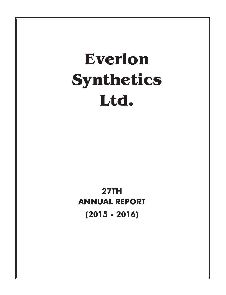# **Everlon Synthetics Ltd.**

EVERLON SYNTHETICS LIMITED

**27TH ANNUAL REPORT (2015 - 2016)**

 $\overline{a}$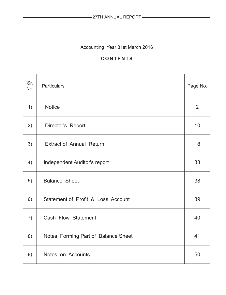Accounting Year 31st March 2016

## **CONTENTS**

| Sr.<br>No. | <b>PartIculars</b>                  | Page No.       |
|------------|-------------------------------------|----------------|
| 1)         | <b>Notice</b>                       | $\overline{2}$ |
| 2)         | Director's Report                   | 10             |
| 3)         | <b>Extract of Annual Return</b>     | 18             |
| 4)         | Independent Auditor's report        | 33             |
| 5)         | <b>Balance Sheet</b>                | 38             |
| 6)         | Statement of Profit & Loss Account  | 39             |
| 7)         | Cash Flow Statement                 | 40             |
| 8)         | Notes Forming Part of Balance Sheet | 41             |
| 9)         | Notes on Accounts                   | 50             |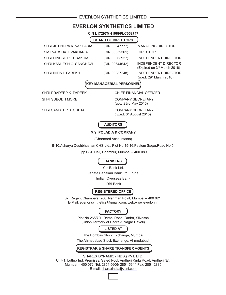## **EVERLON SYNTHETICS LIMITED**

#### **CIN L17297MH1989PLC052747**

## **BOARD OF DIRECTORS**

| (DIN 00047777) | <b>MANAGING DIRECTOR</b>                                            |
|----------------|---------------------------------------------------------------------|
| (DIN 00052361) | <b>DIRECTOR</b>                                                     |
| (DIN 00063927) | <b>INDEPENDENT DIRECTOR</b>                                         |
| (DIN 00644642) | <b>INDEPENDENT DIRECTOR</b><br>(Expired on 3rd March 2016)          |
| (DIN 00087248) | <b>INDEPENDENT DIRECTOR</b><br>(w.e.f. 29 <sup>th</sup> March 2016) |
|                | SHRI JITENDRA K. VAKHARIA<br>SHRI KAMLESH C. SANGHAVI               |

## **KEY MANAGERIAL PERSONNEL**

SHRI SANDEEP S. GUPTA COMPANY SECRETARY

SHRI PRADEEP K. PAREEK CHIEF FINANCIAL OFFICER

SHRI SUBODH MORE COMPANY SECRETARY (upto 23rd May 2015)

( w.e.f.  $6<sup>th</sup>$  August 2015)

**AUDITORS**

#### **M/s. POLADIA & COMPANY**

(Chartered Accountants)

B-10,Acharya Deshbhushan CHS Ltd., Plot No.15-16,Pestom Sagar,Road No.5,

Opp.CKP Hall, Chembur, Mumbai – 400 089.

## **BANKERS**

Yes Bank Ltd. Janata Sahakari Bank Ltd., Pune Indian Overseas Bank IDBI Bank

## **REGISTERED OFFICE**

67, Regent Chambers, 208, Nariman Point, Mumbai – 400 021. E-Mail: everlonsynthetics@gmail.com; web:www.everlon.in

## **FACTORY**

Plot No.265/7/1. Demni Road, Dadra, Silvassa (Union Territory of Dadra & Nagar Haveli)

## **LISTED AT**

The Bombay Stock Exchange, Mumbai

The Ahmedabad Stock Exchange, Ahmedabad.

## **REGISTRAR & SHARE TRANSFER AGENTS**

SHAREX DYNAMIC (INDIA) PVT. LTD. Unit-1, Luthra Ind. Premises, Safed Pool, Andheri Kurla Road, Andheri (E), Mumbai – 400 072. Tel: 2851 5606/ 2851 5644 Fax: 2851 2885 E-mail: sharexindia@vsnl.com

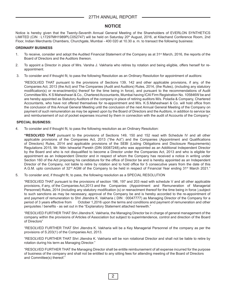## **NOTICE**

Notice is hereby given that the Twenty-Seventh Annual General Meeting of the Shareholders of EVERLON SYNTHETICS LIMITED (CIN : L17297MH1989PLC052747) will be held on Saturday 20<sup>th</sup> August, 2016, at Kilachand Conference Room, 2nd Floor, Indian Merchants Chambers, Churchgate, Mumbai - 400 020 at 10.30 a. m. to transact the following business:

#### **ORDINARY BUSINESS**

- 1. To receive, consider and adopt the Audited Financial Statement of the Company as at 31<sup>st</sup> March, 2016, the reports of the Board of Directors and the Auditors thereon.
- 2. To appoint a Director in place of Mrs. Varsha J. Vakharia who retires by rotation and being eligible, offers herself for reappointment.
- 3. To consider and if thought fit, to pass the following Resolution as an Ordinary Resolution for appointment of auditors:

"RESOLVED THAT pursuant to the provisions of Sections 139, 142 and other applicable provisions, if any, of the Companies Act, 2013 (the Act) and The Companies (Audit and Auditors) Rules, 2014, (the Rules), (including any statutory modification(s) or re-enactment(s) thereof for the time being in force), and pursuant to the recommendations of Audit Committee M/s. K S Maheshwari & Co., Chartered Accountants, Mumbai having ICAI Firm Registration No. 105846W be and are hereby appointed as Statutory Auditors of the company in place of retiring auditors M/s. Poladia & Company, Chartered Accountants, who have not offered themselves for re-appointment and M/s. K.S.Maheshwari & Co. will hold office from the conclusion of this Annual General Meeting until the conclusion of the next Annual General Meeting of the Company on payment of such remuneration as may be agreed upon by the Board of Directors and the Auditors, in addition to service tax and reimbursement of out of pocket expenses incurred by them in connection with the audit of Accounts of the Company."

#### **SPECIAL BUSINESS:**

4. To consider and if thought fit, to pass the following resolution as an Ordinary Resolution:

**"RESOLVED THAT** pursuant to the provisions of Sections 149, 150 and 152 read with Schedule IV and all other applicable provisions of the Companies Act, 2013 ("the Act") and the Companies (Appointment and Qualifications of Directors) Rules, 2014 and applicable provisions of the SEBI (Listing Obligations and Disclosure Requirements) Regulations 2015, Mr. Nitin Ishwarlal Parekh (DIN 00087248),who was appointed as an Additional Independent Director by the Board and who is not disqualified to become a Director under the Companies Act, 2013 and who is eligible for appointment as an Independent Director and in respect of whom the Company has received a notice in writing under Section 160 of the Act proposing his candidature for the office of Director be and is hereby appointed as an Independent Director of the Company, not liable to retire by rotation and to hold office for 5 consecutive years from the date of this A.G.M. upto conclusion of 32<sup>nd</sup> AGM of the Company to be held in respect of Financial Year ending 31<sup>st</sup> March 2021."

5. To consider and, if thought fit, to pass, the following resolution as a SPECIAL RESOLUTION

"RESOLVED THAT pursuant to the provisions of section 196, 197 and 203 read with schedule V and all other applicable provisions, if any, of the Companies Act,2013 and the Companies (Appointment and Remuneration of Managerial Personnel) Rules, 2014 (including any statutory modification (s) or reenactment thereof for the time being in force ),subject to such sanctions as may be necessary, approval of the Company be and is hereby accorded to the re-appointment of and payment of remuneration to Shri Jitendra K. Vakharia ( DIN : 00047777) as Managing Director of the Company for a<br>period of 3 years effective from Cotober 1,2016 upon the terms and conditions and payment of remuneratio October 1,2016 upon the terms and conditions and payment of remuneration and other perquisites / benefits - as set out in the "Explanatory Statement attached herewith."

"RESOLVED FURTHER THAT Shri Jitendra K. Vakharia, the Managing Director be in charge of general management of the company within the provisions of Articles of Association but subject to superintendence, control and direction of the Board of Directors"

"RESOLVED FURTHER THAT Shri Jitendra K. Vakharia will be a Key Managerial Personnel of the company as per the provisions of S.203(1) of the Companies Act, 2013.

"RESOLVED FURTHER THAT Shri Jitendra K. Vakharia will be non rotational Director and shall not be liable to retire by rotation during his term as Managing Director."

"RESOLVED FURTHER THAT the Managing Director shall be entitle reimbursement of all expense incurred for the purpose of business of the company and shall not be entitled to any sitting fees for attending meeting of the Board of Directors and Committee(s) thereof."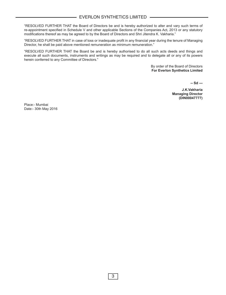## EVERLON SYNTHETICS LIMITED

"RESOLVED FURTHER THAT the Board of Directors be and is hereby authorized to alter and vary such terms of re-appointment specified in Schedule V and other applicable Sections of the Companies Act, 2013 or any statutory modifications thereof as may be agreed to by the Board of Directors and Shri Jitendra K. Vakharia."

"RESOLVED FURTHER THAT in case of loss or inadequate profit in any financial year during the tenure of Managing Director, he shall be paid above mentioned remuneration as minimum remuneration."

"RESOLVED FURTHER THAT the Board be and is hereby authorised to do all such acts deeds and things and execute all such documents, instruments and writings as may be required and to delegate all or any of its powers herein conferred to any Committee of Directors."

> By order of the Board of Directors **For Everlon Synthetics Limited**

> > **-- Sd ---**

**J.K.Vakharia Managing Director (DIN00047777)**

Place:- Mumbai Date:- 30th May 2016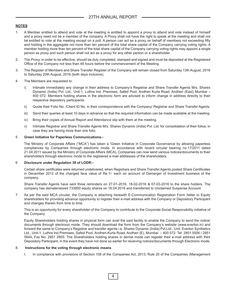#### **NOTES**

- 1. A Member entitled to attend and vote at the meeting is entitled to appoint a proxy to attend and vote instead of himself and a proxy need not be a member of the company. A Proxy shall not have the right to speak at the meeting and shall not be entitled to vote at the meeting except on a poll. A person can act as a proxy on behalf of members not exceeding fifty and holding in the aggregate not more than ten percent of the total share capital of the Company carrying voting rights. A member holding more than ten percent of the total share capital of the Company carrying voting rights may appoint a single person as proxy and such person shall not act as a proxy for any other person or a shareholder.
- 2. The Proxy, in order to be effective, should be duly completed, stamped and signed and must be deposited at the Registered Office of the Company not less than 48 hours before the commencement of the Meeting.
- 3. The Register of Members and Share Transfer Register of the Company will remain closed from Saturday 13th August, 2016 to Saturday 20th August, 2016 (both days inclusive).
- 4 The Members are requested to:
	- i) Intimate immediately any change in their address to Company's Registrar and Share Transfer Agents M/s. Sharex Dynamic (India) Pvt. Ltd., Unit-1, Luthra Ind. Premises, Safed Pool, Andheri Kurla Road, Andheri (East) Mumbai – 400 072. Members holding shares in the electronic form are advised to inform change in address directly to their respective depository participants.
	- ii) Quote their Folio No. /Client ID No. in their correspondence with the Company/ Registrar and Share Transfer Agents.
	- iii) Send their queries at least 10 days in advance so that the required information can be made available at the meeting.
	- iv) Bring their copies of Annual Report and Attendance slip with them at the meeting.
	- v) Intimate Registrar and Share Transfer Agents M/s. Sharex Dynamic (India) Pvt. Ltd. for consolidation of their folios, in case they are having more than one folio.

#### 5 **Green Initiative for Paperless Communications:-**

The Ministry of Corporate Affairs ("MCA") has taken a 'Green Initiative in Corporate Governance by allowing paperless compliances by Companies through electronic mode. In accordance with recent circular bearing no.17/2011 dated 21.04.2011 issued by the Ministry of Corporate Affairs (MCA), Companies can now send various notices/documents to their shareholders through electronic mode to the registered e-mail addresses of the shareholders.

#### 6 **Disclosure under Regulation 39 of LODR:-**

Certain share certificates were returned undelivered, when Registrars and Share Transfer Agents posted Share Certificates in December 2012 of the changed face value of Re.1/- each on account of Demerger of Investment business of the company.

Share Transfer Agents have sent three reminders on 27-01-2016, 18-02-2016 & 07-03-2016 to the share holders. The company has dematerialized 733800 equity shares on 16.04.2016 and transferred to Unclaimed Suspense Account.

7 As per the said MCA circular, the Company is attaching herewith E-Communication Registration Form /letter to Equity shareholders for providing advance opportunity to register their e-mail address with the Company or Depository Participant and changes therein from time to time.

This is an opportunity for every shareholder of the Company to contribute to the Corporate Social Responsibility initiative of the Company.

Equity Shareholders holding shares in physical form can avail the said facility to enable the Company to send the notice/ documents through electronic mode. They should download the form from the Company's website (www.everlon.in) and forward the same to Company's Registrar and transfer agents i.e. Sharex Dynamic (India) Pvt.Ltd., Unit: Everlon Synthetics Ltd., Unit-1, Luthra Ind.Premises, Safed Pool, Andheri-Kurla Road, Andheri (E), Mumbai. – 400 072. Tel: 2851 5506 / 2851 5644, Fax No: 2851 2855. The Shareholders holding shares in demat mode can register their e-mail address with their Depository Participant, in the event they have not done so earlier for receiving notices/documents through Electronic mode.

#### 8. **Instructions for the voting through electronic means**

I. In compliance with provisions of Section 108 of the Companies Act, 2013, Rule 20 of the Companies (Management

4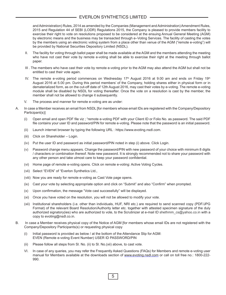## EVERLON SYNTHETICS LIMITED

and Administration) Rules, 2014 as amended by the Companies (Management and Administration) Amendment Rules, 2015 and Regulation 44 of SEBI (LODR) Regulations 2015, the Company is pleased to provide members facility to exercise their right to vote on resolutions proposed to be considered at the ensuing Annual General Meeting (AGM) by electronic means and the business may be transacted through e–Voting Services. The facility of casting the votes by the members using an electronic voting system from a place other than venue of the AGM ("remote e-voting") will be provided by National Securities Depository Limited (NSDL).

- II. The facility for voting through ballot paper shall be made available at the AGM and the members attending the meeting who have not cast their vote by remote e-voting shall be able to exercise their right at the meeting through ballot paper.
- III . The members who have cast their vote by remote e-voting prior to the AGM may also attend the AGM but shall not be entitled to cast their vote again.
- IV. The remote e-voting period commences on Wednesday 17<sup>th</sup> August 2016 at 9.00 am and ends on Friday 19<sup>th</sup> August 2016 at 5.00 pm. During this period members' of the Company, holding shares either in physical form or in dematerialized form, as on the cut-off date of 12th August 2016, may cast their votes by e-voting. The remote e-voting module shall be disabled by NSDL for voting thereafter. Once the vote on a resolution is cast by the member, the member shall not be allowed to change it subsequently.
- V. The process and manner for remote e-voting are as under:
- A. In case a Member receives an email from NSDL [for members whose email IDs are registered with the Company/Depository Participant(s)]
	- (i) Open email and open PDF file viz ; "remote e-voting PDF with your Client ID or Folio No. as password. The said PDF file contains your user ID and password/PIN for remote e-voting. Please note that the password is an initial password.
	- (ii) Launch internet browser by typing the following URL : https://www.evoting.nsdl.com.
	- (iii) Click on Shareholder Login.
	- (iv) Put the user ID and password as initial password/PIN noted in step (i) above. Click Login.
	- (v) Password change menu appears. Change the password/PIN with new password of your choice with minimum 8 digits / characters or combination thereof. Note new password. It is strongly recommended not to share your password with any other person and take utmost care to keep your password confidential.
	- (vi) Home page of remote e-voting opens. Click on remote e-voting: Active Voting Cycles.
	- (vii) Select "EVEN" of "Everlon Synthetics Ltd.,
	- (viii) Now you are ready for remote e-voting as Cast Vote page opens.
	- (ix) Cast your vote by selecting appropriate option and click on "Submit" and also "Confirm" when prompted.
	- (x) Upon confirmation, the message "Vote cast successfully" will be displayed.
	- (xi) Once you have voted on the resolution, you will not be allowed to modify your vote.
	- (xii) Institutional shareholders (i.e. other than individuals, HUF, NRI etc.) are required to send scanned copy (PDF/JPG Format) of the relevant Board Resolution/Authority letter etc. together with attested specimen signature of the duly authorized signatory(ies) who are authorized to vote, to the Scrutinizer at e-mail ID shethmm\_cs@yahoo.co.in with a copy to evoting@nsdl.co.in.
- B. In case a Member receives physical copy of the Notice of AGM [for members whose email IDs are not registered with the Company/Depository Participants(s) or requesting physical copy
	- (i) Initial password is provided as below / at the bottom of the Attendance Slip for AGM: EVEN (Remote e-voting Event Number) USER ID PASSWORD/PIN
	- (ii) Please follow all steps from Sl. No. (ii) to Sl. No.(xii) above, to cast vote.
	- VI. In case of any queries, you may refer the Frequently Asked Questions (FAQs) for Members and remote e-voting user manual for Members available at the downloads section of www.evoting.nsdl.com or call on toll free no.: 1800-222- 990.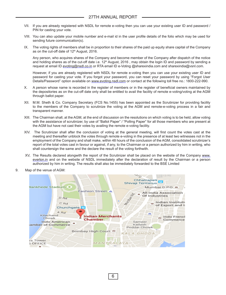- VII. If you are already registered with NSDL for remote e-voting then you can use your existing user ID and password / PIN for casting your vote.
- VIII. You can also update your mobile number and e-mail id in the user profile details of the folio which may be used for sending future communication(s).
- IX. The voting rights of members shall be in proportion to their shares of the paid up equity share capital of the Company as on the cut-off date of 12<sup>th</sup> August, 2016.

Any person, who acquires shares of the Company and become member of the Company after dispatch of the notice and holding shares as of the cut-off date i.e.  $12<sup>th</sup>$  August, 2016, may obtain the login ID and password by sending a request at email ID evoting@nsdl.co.in or RTA email ID e-Voting @sharexindia.com and sharexindia@vsnl.com.

However, if you are already registered with NSDL for remote e-voting then you can use your existing user ID and password for casting your vote. If you forgot your password, you can reset your password by using "Forgot User Details/Password" option available on www.evoting.nsdl.com or contact at the following toll free no.: 1800-222-990.

- X. A person whose name is recorded in the register of members or in the register of beneficial owners maintained by the depositories as on the cut-off date only shall be entitled to avail the facility of remote e-voting/voting at the AGM through ballot paper.
- XII. M.M. Sheth & Co. Company Secretary (FCS No.1455) has been appointed as the Scrutinizer for providing facility to the members of the Company to scrutinize the voting at the AGM and remote-e-voting process in a fair and transparent manner.
- XIII. The Chairman shall, at the AGM, at the end of discussion on the resolutions on which voting is to be held, allow voting with the assistance of scrutinizer, by use of "Ballot Paper" / "Polling Paper" for all those members who are present at the AGM but have not cast their votes by availing the remote e-voting facility.
- XIV. The Scrutinizer shall after the conclusion of voting at the general meeting, will first count the votes cast at the meeting and thereafter unblock the votes through remote e-voting in the presence of at least two witnesses not in the employment of the Company and shall make, within 48 hours of the conclusion of the AGM, consolidated scrutinizer's report of the total votes cast in favour or against, if any, to the Chairman or a person authorized by him in writing, who shall countersign the same and the declare the result of the voting forthwith.
- XV, The Results declared alongwith the report of the Scrutinizer shall be placed on the website of the Company www. everlon.in and on the website of NSDL immediately after the declaration of result by the Chairman or a person authorized by him in writing. The results shall also be immediately forwarded to the BSE Limited



9. Map of the venue of AGM: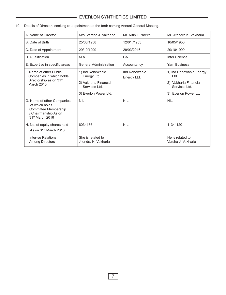## - EVERLON SYNTHETICS LIMITED -

## 10. Details of Directors seeking re-appointment at the forth coming Annual General Meeting.

| A. Name of Director                                                                                                         | Mrs. Varsha J. Vakharia                   | Mr. Nitin I. Parekh          | Mr. Jitendra K. Vakharia               |
|-----------------------------------------------------------------------------------------------------------------------------|-------------------------------------------|------------------------------|----------------------------------------|
| B. Date of Birth                                                                                                            | 25/08/1958                                | 12/01./1953                  | 10/05/1956                             |
| C. Date of Appointment                                                                                                      | 29/10/1999                                | 29/03/2016                   | 29/10/1999                             |
| D. Qualification                                                                                                            | M.A.                                      | СA                           | Inter Science                          |
| E. Expertise in specific areas                                                                                              | <b>General Administration</b>             | Accountancy                  | Yarn Business                          |
| F. Name of other Public<br>Companies in which holds<br>Directorship as on 31st                                              | 1) Ind Renewable<br>Energy Ltd.           | Ind Renewable<br>Energy Ltd. | 1) Ind Renewable Energy<br>ht I        |
| March 2016                                                                                                                  | 2) Vakharia Financial<br>Services I td    |                              | 2) Vakharia Financial<br>Services I td |
|                                                                                                                             | 3) Everlon Power Ltd.                     |                              | 3) Everlon Power Ltd.                  |
| G. Name of other Companies<br>of which holds<br>Committee Membership<br>/ Chairmanship As on<br>31 <sup>st</sup> March 2016 | NII                                       | NII                          | <b>NIL</b>                             |
| H. No. of equity shares held<br>As on 31 <sup>st</sup> March 2016                                                           | 6034136                                   | NII                          | 11341120                               |
| L. Inter-se Relations<br><b>Among Directors</b>                                                                             | She is related to<br>Jitendra K. Vakharia |                              | He is related to<br>Varsha J. Vakharia |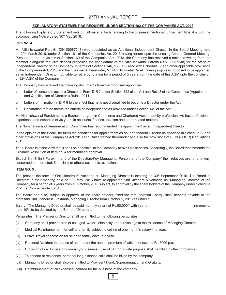#### **EXPLANATORY STATEMENT AS REQUIRED UNDER SECTION 102 OF THE COMPANIES ACT, 2013**

The following Explanatory Statement sets out all material facts relating to the business mentioned under Item Nos. 4 & 5 of the accompanying Notice dated 30<sup>th</sup> May 2016.

#### **Item No. 4**

Mr. Nitin Ishwarlal Parekh (DIN 00087248) was appointed as an Additional Independent Director in the Board Meeting held on 29<sup>th</sup> March 2016, under Section 161 of the Companies Act 2015 having tenure upto the ensuing Annual General Meeting. Pursuant to the provisions of Section 160 of the Companies Act, 2013, the Company has received a notice in writing from the member alongwith requisite deposit proposing the candidature of Mr. Nitin Ishwarlal Parekh (DIN 00087248) for the office of Independent Director of the Company. In terms of Sections 146, 150, 152 read with Schedule IV and other applicable provisions of the Companies Act, 2013 and the rules made thereunder, Mr. Nitin Ishwarlal Parekh, being eligible is proposed to be appointed as an Independent Director not liable to retire by rotation for a period of 5 years from the date of this AGM upto the conclusion of 32<sup>nd</sup> AGM of the Company.

The Company has received the following documents from the proposed appointee:

- **a**. Letter of consent to act as a Director in Form DIR 2 under Section 152 of the Act and Rule 8 of the Companies (Appointment and Qualification of Directors) Rules, 2014.
- **b.** Letters of Intimation in DIR 8 to the effect that he is not disqualified to become a Director under the Act.
- **c**. Declaration that he meets the criteria of independence as provided under Section 149 of the Act.

Mr. Nitin Ishwarlal Parekh holds a Bachelor degree in Commerce and Chartered Accountant by profession. He has professional experience and expertise of 38 years in accounts, finance, taxation and other related matters.

The Nomination and Remuneration Committee has recommended his appointment as an Independent Director.

In the opinion of the Board, he fulfils the conditions for appointment as an Independent Director as specified in Schedule IV and other provisions of the Companies Act 2013 and Rules framed thereunder and also the provisions of SEBI (LODR) Regulations 2015

Thus, Board is of the view that it shall be beneficial to the Company to avail his services. Accordingly, the Board recommends the Ordinary Resolution at Item no. 4 for member's approval.

Expect Shri Nitin I Parekh, none of the Directors/Key Managerial Personnel of the Company/ their relatives are, in any way, concerned or interested, financially or otherwise, in this resolution.

#### **ITEM NO. 5 :**

The present the term of Shri Jitendra K. Vakharia as Managing Director is expiring on 30<sup>th</sup> September 2016. The Board of Directors in their meeting held on 30<sup>th</sup> May, 2016 have re-appointed Shri. Jitendra K.Vakharia as "Managing Director" of the Company for a period of 3 years from 1st October, 2016 subject, to approval by the share holders of the Company under Schedule V of the Companies Act, 2013.

The Board has also, subject to approval of the share holders, fixed the remuneration / perquisites/ benefits payable to the aforesaid Shri Jitendra K. Vakharia, Managing Director from October 1, 2016 as under :

Salary : The Managing Director shall be paid monthly salary of Rs.50,000/- with yearly increments upto 10% to be decided by the Board of Directors.

Perquisites : The Managing Director shall be entitled to the following perquisites :

- (i) Company shall provide free of cost gas, water , electricity and furnishings at the residence of Managing Director.
- (ii) Medical Reimbursement for self and family subject to ceiling of one month's salary in a year.
- (iii) Leave Travel concession for self and family once in a year.
- (iv) Personal Accident Insurance of an amount the annual premium of which not exceed Rs.5000 p.a.
- (v) Provision of car for use on company's business ( use of car for private purpose shall be billed by the company.)
- (vi) Telephone at residence, personal long distance calls shall be billed by the company.
- (vii) Managing Director shall also be entitled to Provident Fund, Superannuation and Gratuity.
- (viii) Reimbursement of all expenses incurred for the business of the company.

8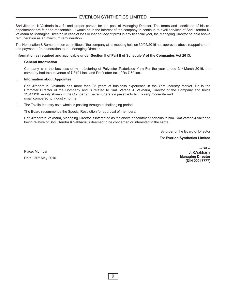## EVERLON SYNTHETICS LIMITED

Shri Jitendra K.Vakharia is a fit and proper person for the post of Managing Director. The terms and conditions of his reappointment are fair and reasonable. It would be in the interest of the company to continue to avail services of Shri Jitendra K. Vakharia as Managing Director. In case of loss or inadequacy of profit in any financial year, the Managing Director be paid above remuneration as an minimum remuneration.

The Nomination & Remuneration committee of the company at its meeting held on 30/05/2016 has approved above reappointment and payment of remuneration to the Managing Director.

#### **Information as required and applicable under Section II of Part II of Schedule V of the Companies Act 2013.**

#### **I. General Information**

Company is in the business of manufacturing of Polyester Texturisied Yarn For the year ended 31<sup>st</sup> March 2016, the company had total revenue of  $\bar{\tau}$  3104 lacs and Profit after tax of Rs.7.60 lacs.

#### II**. Information about Appointee**

Shri Jitendra K. Vakharia has more than 25 years of business experience in the Yarn Industry Market. He is the Promoter Director of the Company and is related to Smt. Varsha J. Vakharia, Director of the Company and holds 11341120 equity shares in the Company. The remuneration payable to him is very moderate and small compared to Industry norms.

III. The Textile Industry as a whole is passing through a challenging period.

The Board recommends the Special Resolution for approval of members.

Shri Jitendra K.Vakharia, Managing Director is interested as the above appointment pertains to him. Smt Varsha J.Vakharia being relative of Shri Jitendra K.Vakharia is deemed to be concerned or interested in the same.

By order of the Board of Director

For **Everlon Synthetics Limited**

Place: Mumbai Date: 30<sup>th</sup> May 2016

**-- Sd -- J. K.Vakharia Managing Director (DIN 00047777)**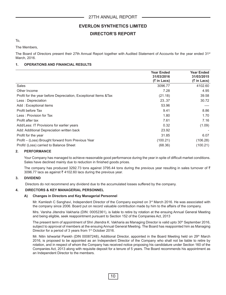## **EVERLON SYNTHETICS LIMITED**

## **DIRECTOR'S REPORT**

To,

The Members,

The Board of Directors present their 27th Annual Report together with Audited Statement of Accounts for the year ended 31<sup>st</sup> March, 2016.

#### **1. OPERATIONS AND FINANCIAL RESULTS**

|                                                                  | <b>Year Ended</b><br>31/03/2016<br>$(5 \in \text{Ln}$ Lacs) | <b>Year Ended</b><br>31/03/2015<br>$(5 \in \mathsf{In} \text{ Lacs})$ |
|------------------------------------------------------------------|-------------------------------------------------------------|-----------------------------------------------------------------------|
| Sales                                                            | 3096.77                                                     | 4102.60                                                               |
| Other Income                                                     | 7.28                                                        | 4.95                                                                  |
| Profit for the year before Depreciation, Exceptional Items & Tax | (21.18)                                                     | 39.58                                                                 |
| Less: Depreciation                                               | 23.37                                                       | 30.72                                                                 |
| Add: Exceptional items                                           | 53.96                                                       | ----                                                                  |
| Profit before Tax                                                | 9.41                                                        | 8.86                                                                  |
| Less: Provision for Tax                                          | 1.80                                                        | 1.70                                                                  |
| Profit after tax                                                 | 7.61                                                        | 7.16                                                                  |
| Add/Less: IT Provisions for earlier years                        | 0.32                                                        | (1.09)                                                                |
| Add: Additional Depreciation written back                        | 23.92                                                       |                                                                       |
| Profit for the year                                              | 31.85                                                       | 6.07                                                                  |
| Profit – (Loss) Brought forward from Previous Year               | (100.21)                                                    | (106.28)                                                              |
| Profit/ (Loss) carried to Balance Sheet                          | (68.36)                                                     | (100.21)                                                              |

#### **2. PERFORMANCE**

Your Company has managed to achieve reasonable good performance during the year in spite of difficult market conditions. Sales have declined mainly due to reduction in finished goods prices.

The company has produced 3292.73 tons against 3795.44 tons during the previous year resulting in sales turnover of  $\bar{\tau}$ 3096.77 lacs as against  $\bar{\tau}$  4102.60 lacs during the previous year.

#### **3. DIVIDEND**

Directors do not recommend any dividend due to the accumulated losses suffered by the company.

#### **4. DIRECTORS & KEY MANAGERIAL PERSONNEL**

#### **A) Changes in Directors and Key Managerial Personnel**

Mr. Kamlesh C Sanghavi, Independent Director of the Company expired on 3<sup>rd</sup> March 2016. He was associated with the company since 2006. Board put on record valuable contribution made by him to the affairs of the company.

Mrs. Varsha Jitendra Vakharia (DIN: 00052361), is liable to retire by rotation at the ensuing Annual General Meeting and being eligible, seek reappointment pursuant to Section 152 of the Companies Act, 2013

The present term of appointment of Shri Jitendra K. Vakharia as Managing Director is valid upto 30<sup>th</sup> September 2016, subject to approval of members at the ensuing Annual General Meeting. The Board has reappointed him as Managing Director for a period of 3 years from 1<sup>st</sup> October 2016.

Mr. Nitin Ishwarlal Parekh (DIN 00087248), Additional Director, appointed in the Board Meeting held on 29<sup>th</sup> March 2016, is proposed to be appointed as an Independent Director of the Company who shall not be liable to retire by rotation, and in respect of whom the Company has received notice proposing his candidature under Section 160 of the Companies Act, 2013 along with requisite deposit for a tenure of 5 years. The Board recommends his appointment as an Independent Director to the members.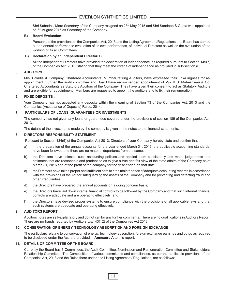Shri Subodh L More Secretary of the Company resigned on 23<sup>rd</sup> May 2015 and Shri Sandeep S.Gupta was appointed on 6<sup>th</sup> August 2015 as Secretary of the Company.

#### **B) Board Evaluation:**

Pursuant to the provisions of the Companies Act, 2013 and the Listing Agreement/Regulations, the Board has carried out an annual performance evaluation of its own performance, of individual Directors as well as the evaluation of the working of its all Committees.

#### **C) Declaration by an Independent Director(s)**

All the Independent Directors have provided the declaration of Independence, as required pursuant to Section 149(7) of the Companies Act, 2013, stating that they meet the criteria of independence as provided in sub-section (6).

#### **5. AUDITORS**

M/s. Poladia & Company, Chartered Accountants, Mumbai retiring Auditors, have expressed their unwillingness for reappointment. Further the audit committee and Board have recommended appointment of M/s. K.S. Maheshwari & Co. Chartered Accountants as Statutory Auditors of the Company. They have given their consent to act as Statutory Auditors and are eligible for appointment . Members are requested to appoint the auditors and to fix their remuneration.

#### **6. FIXED DEPOSITS** :

Your Company has not accepted any deposits within the meaning of Section 73 of the Companies Act, 2013 and the Companies (Acceptance of Deposits) Rules, 2014.

#### **7. PARTICULARS OF LOANS, GUARANTEES OR INVESTMENTS** :

The company has not given any loans or guarantees covered under the provisions of section 186 of the Companies Act, 2013.

The details of the investments made by the company is given in the notes to the financial statements.

#### **8. DIRECTORS RESPONSIBILITY STATEMENT**

Pursuant to Section 134(5) of the Companies Act 2013, Directors of your Company hereby state and confirm that :-

- a) in the preparation of the annual accounts for the year ended March 31, 2016, the applicable accounting standards, have been followed and there are no material departures from the same.
- b) the Directors have selected such accounting policies and applied them consistently and made judgements and estimates that are reasonable and prudent so as to give a true and fair view of the state affairs of the Company as at March 31, 2016 and of the profit of the company for the year ended on that date.
- c) the Directors have taken proper and sufficient care fo r the maintenance of adequate accounting records in accordance with the provisions of the Act for safeguarding the assets of the Company and for preventing and detecting fraud and other irregularities;
- d) the Directors have prepared the annual accounts on a going concern basis;
- e) the Directors have laid down internal financial controls to be followed by the Company and that such internal financial controls are adequate and are operating effectively; and
- f) the Directors have devised proper systems to ensure compliance with the provisions of all applicable laws and that such systems are adequate and operating effectively.

#### **9. AUDITORS REPORT**

Auditors notes are self-explanatory and do not call for any further comments. There are no qualifications in Auditors Report. There are no frauds reported by Auditors u/s.143(12) of the Companies Act 2013.

#### **10. CONSERVATION OF ENERGY, TECHNOLOGY ABSORPTION AND FOREIGN EXCHANGE**

The particulars relating to conservation of energy, technology absorption, foreign exchange earnings and outgo as required to be disclosed under the Act, are provided in **Annexure A** to this report.

#### **11. DETAILS OF COMMITTEE OF THE BOARD**

Currently the Board has 3 Committees: the Audit Committee, Nomination and Remuneration Committee and Stakeholders' Relationship Committee. The Composition of various committees and compliances, as per the applicable provisions of the Companies Act, 2013 and the Rules there under and Listing Agreement/ Regulations, are as follows:

11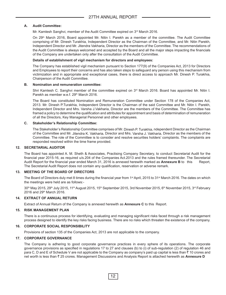#### **A. Audit Committee:**

Mr. Kamlesh Sanghvi, member of the Audit Committee expired on 3rd March 2016.

On 29<sup>th</sup> March 2016, Board appointed Mr. Nitin I. Parekh as a member of the committee. The Audit Committee comprising of Mr. Dinesh Turakhia, Independent Director as the Chairman of the Committee, and Mr. Nitin Parekh, Independent Director and Mr. Jitendra Vakharia, Director as the members of the Committee. The recommendations of the Audit Committee is always welcomed and accepted by the Board and all the major steps impacting the financials of the Company are undertaken only after the consultation of the Audit Committee.

#### **Details of establishment of vigil mechanism for directors and employees:**

The Company has established vigil mechanism pursuant to Section 177(9) of the Companies Act, 2013 for Directors and Employees to report their concerns and has also taken steps to safeguard any person using this mechanism from victimization and in appropriate and exceptional cases, there is direct access to approach Mr. Dinesh P. Turakhia, Chairperson of the Audit Committee.

#### **B. Nomination and remuneration committee:**

Shri Kamlesh C. Sanghvi member of the committee expired on 3<sup>rd</sup> March 2016. Board has appointed Mr. Nitin I. Parekh as member w.e.f. 29<sup>th</sup> March 2016.

The Board has constituted Nomination and Remuneration Committee under Section 178 of the Companies Act, 2013. Mr. Dinesh P.Turakhia, Independent Director is the Chairman of the said Committee and Mr. Nitin I. Parekh, Independent Director and Mrs. Varsha J.Vakharia, Director are the members of the Committee. The Committee has framed a policy to determine the qualification and attributes for appointment and basis of determination of remuneration of all the Directors, Key Managerial Personnel and other employees.

#### **C. Stakeholder's Relationship Committee:**

The Stakeholder's Relationship Committee comprises of Mr. Dinesh P. Turakhia, ndependent Director as the Chairman of the Committee and Mr. Jitendra K. Vakharia, Director and Mrs. Varsha J. Vakharia, Director as the members of the Committee. The role of the Committee is to consider and resolve securities holders' complaints. The complaints are responded resolved within the time frame provided.

#### **12. SECRETARIAL AUDITOR**

The Board has appointed A. M. Sheth & Associates, Practising Company Secretary, to conduct Secretarial Audit for the financial year 2015-16, as required u/s.204 of the Companies Act.2013 and the rules framed thereunder. The Secretarial Audit Report for the financial year ended March 31, 2016 is annexed herewith marked as **Annexure B** to this Report, The Secretarial Audit Report does not contain any qualification, reservation or adverse remark.

#### **13. MEETING OF THE BOARD OF DIRECTORS**

The Board of Directors duly met 8 times during the financial year from 1<sup>st</sup> April, 2015 to 31<sup>st</sup> March 2016. The dates on which the meetings were held are as follows:-

30<sup>th</sup> May 2015, 29<sup>th</sup> July 2015, 11<sup>th</sup> August 2015, 15<sup>th</sup> September 2015, 3rd November 2015, 6<sup>th</sup> November 2015, 3<sup>rd</sup> February 2016 and 29th March 2016.

#### **14. EXTRACT OF ANNUAL RETURN**

Extract of Annual Return of the Company is annexed herewith as **Annexure C** to this Report.

#### **15. RISK MANAGEMENT PLAN**

There is a continuous process for identifying, evaluating and managing significant risks faced through a risk management process designed to identify the key risks facing business. There are no risks which threaten the existence of the company.

#### **16. CORPORATE SOCIAL RESPONSIBILITY**

Provisions of section 135 of the Companies Act, 2013 are not applicable to the company.

#### **17. CORPORATE GOVERNANCE**

The Company is adhering to good corporate governance practices in every sphere of its operations. The corporate governance provisions as specified in regulations 17 to 27 and clauses (b) to (i) of sub-regulation (2) of regulation 46 and para C, D and E of Schedule V are not applicable to the Company as company's paid up capital is less than  $\bar{z}$  10 crores and net worth is less than ₹ 25 crores. Management Discussions and Analysis Report is attached herewith as **Annexure D**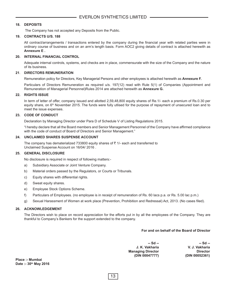#### **18. DEPOSITS**

The Company has not accepted any Deposits from the Public.

#### **19. CONTRACTS U/S. 188**

All contract/arrangements / transactions entered by the company during the financial year with related parties were in ordinary course of business and on an arm's length basis. Form AOC2 giving details of contract is attached herewith as **Annexure E .**

#### **20. INTERNAL FINANCIAL CONTROL**

Adequate internal controls, systems, and checks are in place, commensurate with the size of the Company and the nature of its business.

#### **21**. **DIRECTORS REMUNERATION**

Remuneration policy for Directors, Key Managerial Persons and other employees is attached herewith as **Annexure F.**

Particulars of Directors Remuneration as required u/s. 197(12) read with Rule 5(1) of Companies (Appointment and Remuneration of Managerial Personnel)Rules 2014 are attached herewith as **Annexure G.**

#### **22. RIGHTS ISSUE**

In term of letter of offer, company issued and allotted 2,59,48,800 equity shares of Re.1/- each a premium of Rs.0.30 per equity share, on  $6<sup>th</sup>$  November 2015. The funds were fully utlised for the purpose of repayment of unsecured loan and to meet the issue expenses.

#### **23. CODE OF CONDUCT**

Declaration by Managing Director under Para D of Schedule V of Listing Regulations 2015.

"I hereby declare that all the Board members and Senior Management Personnel of the Company have affirmed compliance with the code of conduct of Board of Directors and Senior Management."

#### **24. UNCLAIMED SHARES SUSPENSE ACCOUNT**

The company has dematerialized 733800 equity shares of  $\bar{\tau}$  1/- each and transferred to Unclaimed Suspense Account on 16/04/ 2016 .

#### **25. GENERAL DISCLOSURE**

No disclosure is required in respect of following matters:-

- a) Subsidiary Associate or Joint Venture Company.
- b) Material orders passed by the Regulators, or Courts or Tribunals.
- c) Equity shares with differential rights.
- d) Sweat equity shares.
- e) Employee Stock Options Scheme.
- f) Particulars of Employees. (no employee is in receipt of remuneration of Rs. 60 lacs p.a. or Rs. 5.00 lac p.m.)
- g) Sexual Harassment of Women at work place (Prevention, Prohibition and Redressal) Act, 2013. (No cases filed).

#### **26. ACKNOWLEDGEMENT**

The Directors wish to place on record appreciation for the efforts put in by all the employees of the Company. They are thankful to Company's Bankers for the support extended to the company.

#### **For and on behalf of the Board of Director**

| -- Sd --                 | -- Sd --        |
|--------------------------|-----------------|
| J. K. Vakharia           | V. J. Vakharia  |
| <b>Managing Director</b> | <b>Director</b> |
| (DIN 00047777)           | (DIN 00052361)  |

**Place :- Mumbai Date :- 30th May 2016**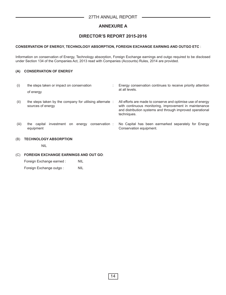## **ANNEXURE A**

## **DIRECTOR'S REPORT 2015-2016**

#### **CONSERVATION OF ENERGY, TECHNOLOGY ABSORPTION, FOREIGN EXCHANGE EARNING AND OUTGO ETC** :

Information on conservation of Energy, Technology absorption, Foreign Exchange earnings and outgo required to be disclosed under Section 134 of the Companies Act, 2013 read with Companies (Accounts) Rules, 2014 are provided.

#### **(A) CONSERVATION OF ENERGY**

| (i)   | the steps taken or impact on conservation<br>of energy                        | Energy conservation continues to receive priority attention<br>at all levels.                                                                                                                     |
|-------|-------------------------------------------------------------------------------|---------------------------------------------------------------------------------------------------------------------------------------------------------------------------------------------------|
| (ii)  | the steps taken by the company for utilising alternate :<br>sources of energy | All efforts are made to conserve and optimise use of energy<br>with continuous monitoring, improvement in maintenance<br>and distribution systems and through improved operational<br>techniques. |
| (iii) | investment on<br>the capital<br>conservation:<br>energy<br>equipment          | No Capital has been earmarked separately for Energy<br>Conservation equipment.                                                                                                                    |

## (B) **TECHNOLOGY ABSORPTION**

NIL

#### (C) **FOREIGN EXCHANGE EARNINGS AND OUT GO**:

Foreign Exchange earned : NIL Foreign Exchange outgo : NIL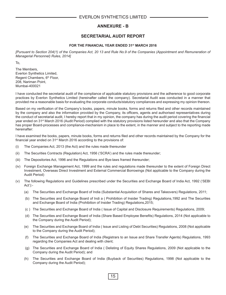## EVERLON SYNTHETICS LIMITED

## **ANNEXURE - B**

#### **SECRETARIAL AUDIT REPORT**

#### **FOR THE FINANCIAL YEAR ENDED 31st MARCH 2016**

*[Pursuant to Section 204(1) of the Companies Act, 20 13 and Rule No.9 of the Companies (Appointment and Remuneration of Managerial Personnel) Rules, 2014]*

To,

The Members, Everlon Synthetics Limited, Regent Chambers, 6<sup>th</sup> Floor, 208, Nariman Point, Mumbai-400021

I have conducted the secretarial audit of the compliance of applicable statutory provisions and the adherence to good corporate practices by Everlon Synthetics Limited (hereinafter called the company). Secretarial Audit was conducted in a manner that provided me a reasonable basis for evaluating the corporate conducts/statutory compliances and expressing my opinion thereon.

Based on my verification of the Company's books, papers, minute books, forms and returns filed and other records maintained by the company and also the information provided by the Company, its officers, agents and authorised representatives during the conduct of secretarial audit, I hereby report that in my opinion, the company has during the audit period covering the financial year ended on 31st March 2016 (Audit Period) complied with the statutory provisions listed hereunder and also that the Company has proper Board-processes and compliance-mechanism in place to the extent, in the manner and subject to the reporting made hereinafter:

I have examined the books, papers, minute books, forms and returns filed and other records maintained by the Company for the financial year ended on 31<sup>st</sup> March 2016 according to the provisions of:

- (i) The Companies Act, 2013 (the Act) and the rules made thereunder
- (ii) The Securities Contracts (Regulation) Act, 1956 ('SCRA') and the rules made thereunder;
- (iii) The Depositories Act, 1996 and the Regulations and Bye-laws framed thereunder;
- (iv) Foreign Exchange Management Act, 1999 and the rules and regulations made thereunder to the extent of Foreign Direct Investment, Overseas Direct Investment and External Commercial Borrowings (Not applicable to the Company during the Audit Period)
- (v) The following Regulations and Guidelines prescribed under the Securities and Exchange Board of India Act, 1992 ('SEBI Act'):-
	- (a) The Securities and Exchange Board of India (Substantial Acquisition of Shares and Takeovers) Regulations, 2011;
	- (b) The Securities and Exchange Board of Indi a ( Prohibition of Insider Trading) Regulations,1992 and The Securities and Exchange Board of India (Prohibition of Insider Trading) Regulations,2015;
	- (c ) The Securities and Exchange Board of India ( Issue of Capital and Disclosure Requirements) Regulations, 2009;
	- (d) The Securities and Exchange Board of India (Share Based Employee Benefits) Regulations, 2014 (Not applicable to the Company during the Audit Period);
	- (e) The Securities and Exchange Board of India ( Issue and Listing of Debt Securities) Regulations, 2008 (Not applicable to the Company during the Audit Period);
	- (f) The Securities and Exchange Board of India (Registrars to an Issue and Share Transfer Agents) Regulations, 1993 regarding the Companies Act and dealing with client;
	- (g) The Securities and Exchange Board of India ( Delisting of Equity Shares Regulations, 2009 (Not applicable to the Company during the Audit Period); and
	- (h) The Securities and Exchange Board of India (Buyback of Securities) Regulations, 1998 (Not applicable to the Company during the Audit Period);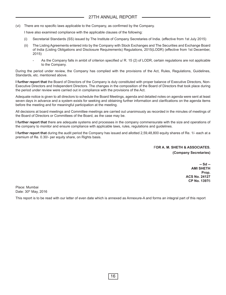(vi) There are no specific laws applicable to the Company, as confirmed by the Company.

I have also examined compliance with the applicable clauses of the following:

- (i) Secretarial Standards (SS) issued by The Institute of Company Secretaries of India. (effective from 1st July 2015)
- (ii) The Listing Agreements entered into by the Company with Stock Exchanges and The Securities and Exchange Board of India (Listing Obligations and Disclosure Requirements) Regulations, 2015(LODR) (effective from 1st December, 2015)
	- As the Company falls in ambit of criterion specified u/ R. 15 (2) of LODR, certain regulations are not applicable to the Company.

During the period under review, the Company has complied with the provisions of the Act, Rules, Regulations, Guidelines, Standards, etc. mentioned above.

**I further report that** the Board of Directors of the Company is duly constituted with proper balance of Executive Directors, Non-Executive Directors and Independent Directors. The changes in the composition of the Board of Directors that took place during the period under review were carried out in compliance with the provisions of the Act.

Adequate notice is given to all directors to schedule the Board Meetings, agenda and detailed notes on agenda were sent at least seven days in advance and a system exists for seeking and obtaining further information and clarifications on the agenda items before the meeting and for meaningful participation at the meeting.

All decisions at board meetings and Committee meetings are carried out unanimously as recorded in the minutes of meetings of the Board of Directors or Committees of the Board, as the case may be.

**I further report that** there are adequate systems and processes in the company commensurate with the size and operations of the company to monitor and ensure compliance with applicable laws, rules, regulations and guidelines.

**I further report that** during the audit period the Company has issued and allotted 2,59,48,800 equity shares of Re. 1/- each at a premium of Re. 0.30/- per equity share, on Rights basis.

> F**OR A. M. SHETH & ASSOCIATES. (Company Secretaries)**

> > **-- Sd -- AMI SHETH Prop. ACS No. 24127 CP No. 1397**6

Place: Mumbai Date: 30<sup>th</sup> May, 2016

This report is to be read with our letter of even date which is annexed as Annexure-A and forms an integral part of this report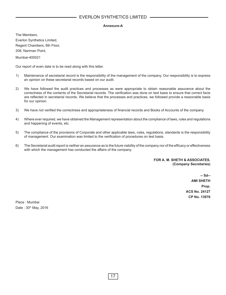#### **Annexure-A**

The Members, Everlon Synthetics Limited, Regent Chambers, 6th Floor, 208, Nariman Point,

Mumbai-400021

Our report of even date is to be read along with this letter.

- 1) Maintenance of secretarial record is the responsibility of the management of the company. Our responsibility is to express an opinion on these secretarial records based on our audit.
- 2) We have followed the audit practices and processes as were appropriate to obtain reasonable assurance about the correctness of the contents of the Secretarial records. The verification was done on test basis to ensure that correct facts are reflected in secretarial records. We believe that the processes and practices, we followed provide a reasonable basis for our opinion.
- 3) We have not verified the correctness and appropriateness of financial records and Books of Accounts of the company.
- 4) Where ever required, we have obtained the Management representation about the compliance of laws, rules and regulations and happening of events, etc.
- 5) The compliance of the provisions of Corporate and other applicable laws, rules, regulations, standards is the responsibility of management. Our examination was limited to the verification of procedures on test basis.
- 6) The Secretarial audit report is neither an assurance as to the future viability of the company nor of the efficacy or effectiveness with which the management has conducted the affairs of the company.

**FOR A. M. SHETH & ASSOCIATES. (Company Secretaries)**

> **-- Sd-- AMI SHETH Prop. ACS No. 24127 CP No. 13976**

Place : Mumbai Date: 30th May, 2016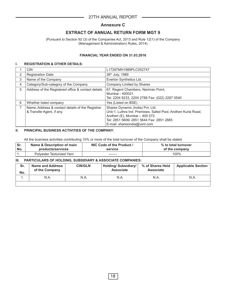## 27TH ANNUAL REPORT

#### **Annexure C**

## **EXTRACT OF ANNUAL RETURN FORM MGT 9**

(Pursuant to Section 92 (3) of the Companies Act, 2013 and Rule 12(1) of the Company (Management & Administration) Rules, 2014)

#### **FINANCIAL YEAR ENDED ON 31.03.2016**

#### **I. REGISTRATION & OTHER DETAILS:**

|   | <b>CIN</b>                                                                    | L17297MH1989PLC052747                                                                                                                                                                                           |
|---|-------------------------------------------------------------------------------|-----------------------------------------------------------------------------------------------------------------------------------------------------------------------------------------------------------------|
| 2 | <b>Registration Date</b>                                                      | 26th July, 1989                                                                                                                                                                                                 |
| 3 | Name of the Company                                                           | Everlon Synthetics Ltd.                                                                                                                                                                                         |
| 4 | Category/Sub-category of the Company                                          | Company Limited by Shares                                                                                                                                                                                       |
| 5 | Address of the Registered office & contact details                            | 67, Regent Chambers, Nariman Point,<br>Mumbai - 400021<br>Tel: 2204 9233, 2204 2788 Fax: (022) 2287 0540                                                                                                        |
| 6 | Whether listed company                                                        | Yes (Listed on BSE)                                                                                                                                                                                             |
|   | Name, Address & contact details of the Registrar<br>& Transfer Agent, if any. | Sharex Dynamic (India) Pvt. Ltd.<br>Unit-1, Luthra Ind. Premises, Safed Pool, Andheri Kurla Road,<br>Andheri (E), Mumbai - 400 072.<br>Tel: 2851 5606/ 2851 5644 Fax: 2851 2885<br>E-mail: sharexindia@vsnl.com |

#### **II. PRINCIPAL BUSINESS ACTIVITIES OF THE COMPANY:**

All the business activities contributing 10% or more of the total turnover of the Company shall be stated

| Sr. | Name & Description of main | NIC Code of the Product / | % to total turnover |
|-----|----------------------------|---------------------------|---------------------|
| No. | products/services          | service                   | of the company      |
|     | Polvester Texturised Yarn  | --------                  | 100%                |

#### **III. PARTICULARS OF HOLDING, SUBSIDIARY & ASSOCIATE COMPANIES:**

| Sr.<br>No. | <b>Name and Address</b><br>of the Company | <b>CIN/GLN</b> | Holding/Subsidiary/<br>Associate | % of Shares Held<br>Associate | <b>Applicable Section</b> |
|------------|-------------------------------------------|----------------|----------------------------------|-------------------------------|---------------------------|
|            | N.A.                                      | N.A.           | N.A.                             | N.A.                          | N.A.                      |
|            |                                           |                |                                  |                               |                           |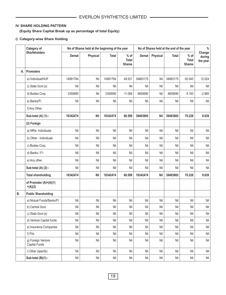## **IV. SHARE HOLDING PATTERN**

## **(Equity Share Capital Break up as percentage of total Equity)**

#### **i) Category-wise Share Holding**

|    | Category of                         | No of Shares held at the beginning of the year | No of Shares held at the end of the year |              |                                         |          | $\%$     |              |                                         |                              |
|----|-------------------------------------|------------------------------------------------|------------------------------------------|--------------|-----------------------------------------|----------|----------|--------------|-----------------------------------------|------------------------------|
|    | <b>Sharfeholders</b>                | Demat                                          | Physical                                 | <b>Total</b> | $%$ of<br><b>Total</b><br><b>Shares</b> | Demat    | Physical | <b>Total</b> | $%$ of<br><b>Total</b><br><b>Shares</b> | Change<br>during<br>the year |
| А. | <b>Promoters</b>                    |                                                |                                          |              |                                         |          |          |              |                                         |                              |
|    | a) Individual/HUF                   | 14991784                                       | Nil                                      | 14991784     | 49.521                                  | 34883175 | Nil      | 34883175     | 62.045                                  | 12.524                       |
|    | c) State Govt.(s)                   | Nil                                            | Nil                                      | Nil          | Nil                                     | Nil      | Nil      | Nil          | Nil                                     | Nil                          |
|    | d) Bodies Corp.                     | 3350690                                        | Nil                                      | 3350690      | 11.068                                  | 4600690  | Nil      | 4600690      | 8.183                                   | $-2.885$                     |
|    | e) Banks/FI                         | Nil                                            | Nil                                      | Nil          | Nil                                     | Nil      | Nil      | Nil          | Nil                                     | Nil                          |
|    | f) Any Other                        |                                                |                                          |              |                                         |          |          |              |                                         |                              |
|    | Sub-total $(A)$ $(1)$ :-            | 18342474                                       | <b>Nil</b>                               | 18342474     | 60.589                                  | 39483865 | Nil      | 39483865     | 70.228                                  | 9.639                        |
|    | (2) Foreign                         |                                                |                                          |              |                                         |          |          |              |                                         |                              |
|    | a) NRIs- Individuals                | Nil                                            | Nil                                      | Nil          | Nil                                     | Nil      | Nil      | Nil          | Nil                                     | Nil                          |
|    | b) Other - Individuals              | Nil                                            | Nil                                      | Nil          | Nil                                     | Nil      | Nil      | Nil          | Nil                                     | Nil                          |
|    | c) Bodies Corp.                     | Nil                                            | Nil                                      | Nil          | Nil                                     | Nil      | Nil      | Nil          | Nil                                     | Nil                          |
|    | d) Banks / F1                       | Nil                                            | Nil                                      | Nil          | Nil                                     | Nil      | Nil      | Nil          | Nil                                     | Nil                          |
|    | e) Any other                        | Nil                                            | Nil                                      | Nil          | Nil                                     | Nil      | Nil      | Nil          | Nil                                     | Nil                          |
|    | Sub-total (A) (2):-                 | Nil                                            | Nil                                      | Nil          | Nil                                     | Nil      | Nil      | Nil          | Nil                                     | Nil                          |
|    | <b>Total shareholding</b>           | 18342474                                       | Nil                                      | 18342474     | 60.589                                  | 18342474 | Nil      | 39483865     | 70.228                                  | 9.639                        |
|    | of Promoter (A)=(A)(1)<br>$+(A)(2)$ |                                                |                                          |              |                                         |          |          |              |                                         |                              |
| В. | <b>Public Shareholding</b>          |                                                |                                          |              |                                         |          |          |              |                                         |                              |
|    | a) Mutual Funds/Banks/FI            | Nil                                            | Nil                                      | Nil          | Nil                                     | Nil      | Nil      | Nil          | Nil                                     | Nil                          |
|    | b) Central Govt.                    | Nil                                            | Nil                                      | Nil          | Nil                                     | Nil      | Nil      | Nil          | Nil                                     | Nil                          |
|    | c) State Govt.(s)                   | Nil                                            | Nil                                      | Nil          | Nil                                     | Nil      | Nil      | Nil          | Nil                                     | Nil                          |
|    | d) Venture Capital funds            | Nil                                            | Nil                                      | Nil          | Nil                                     | Nil      | Nil      | Nil          | Nil                                     | Nil                          |
|    | e) Insurance Companies              | Nil                                            | Nil                                      | Nil          | Nil                                     | Nil      | Nil      | Nil          | Nil                                     | Nil                          |
|    | f) Flls                             | Nil                                            | Nil                                      | Nil          | Nil                                     | Nil      | Nil      | Nil          | Nil                                     | Nil                          |
|    | g) Foreign Venture<br>Capital Funds | Nil                                            | Nil                                      | Nil          | Nil                                     | Nil      | Nil      | Nil          | Nil                                     | Nil                          |
|    | i) Other (specify)                  | Nil                                            | Nil                                      | Nil          | Nil                                     | Nil      | Nil      | Nil          | Nil                                     | Nil                          |
|    | Sub-total $(B)(1)$ :-               | Nil                                            | Nil                                      | Nil          | Nil                                     | Nil      | Nil      | Nil          | Nil                                     | Nil                          |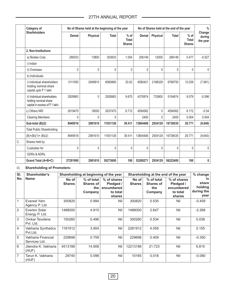## 27TH ANNUAL REPORT

| Category of |                                                                                       | No of Shares held at the beginning of the year |              |          |                                         | No of Shares held at the end of the year |              |          |                                         | $\frac{0}{0}$                |
|-------------|---------------------------------------------------------------------------------------|------------------------------------------------|--------------|----------|-----------------------------------------|------------------------------------------|--------------|----------|-----------------------------------------|------------------------------|
|             | <b>Sharfeholders</b>                                                                  | Demat                                          | Physical     | Total    | $%$ of<br><b>Total</b><br><b>Shares</b> | Demat                                    | Physical     | Total    | $%$ of<br><b>Total</b><br><b>Shares</b> | Change<br>during<br>the year |
|             | 2. Non-Institutions                                                                   |                                                |              |          |                                         |                                          |              |          |                                         |                              |
|             | a) Bodies Corp.                                                                       | 290033                                         | 13800        | 303833   | 1.004                                   | 256149                                   | 12000        | 268149   | 0.477                                   | $-0.527$                     |
|             | i) Indian                                                                             |                                                |              |          |                                         |                                          |              |          |                                         |                              |
|             | ii) Overseas                                                                          | $\mathbf{0}$                                   | $\mathbf{0}$ | 0        | 0                                       | 0                                        | 0            | 0        | 0                                       | $\mathbf{0}$                 |
|             | b) Individuals                                                                        |                                                |              |          |                                         |                                          |              |          |                                         |                              |
|             | i) Individual shareholders<br>holding nominal share<br>capital upto ₹ 1 lakh          | 3111050                                        | 2949810      | 6060860  | 20.02                                   | 4580421                                  | 2188329      | 6768750  | 12.039                                  | (7.981)                      |
|             | ii) Individual shareholders<br>holding nominal share<br>capital in excess of ₹1 lakh. | 2928963                                        | $\Omega$     | 2928963  | 9.675                                   | 4370874                                  | 733800       | 5104674  | 9.079                                   | $-0.596$                     |
|             | c) Others NRI                                                                         | 2619470                                        | 18000        | 2637470  | 8.712                                   | 4594562                                  | 0            | 4594562  | 8.172                                   | $-0.54$                      |
|             | <b>Clearing Members</b>                                                               | $\Omega$                                       | $\mathbf{0}$ | 0        |                                         | 2400                                     | 0            | 2400     | 0.004                                   | 0.004                        |
|             | Sub-total (B)(2)                                                                      | 8949516                                        | 2981610      | 11931126 | 39.411                                  | 13804406                                 | 2934129      | 16738535 | 29.771                                  | (9.640)                      |
|             | <b>Total Public Shareholding</b>                                                      |                                                |              |          |                                         |                                          |              |          |                                         |                              |
|             | $(B)=(B)(1)+(B)(2)$                                                                   | 8949516                                        | 2981610      | 11931126 | 39.411                                  | 13804406                                 | 2934129      | 16738535 | 29.771                                  | (9.640)                      |
| C.          | Shares held by                                                                        |                                                |              |          |                                         |                                          |              |          |                                         |                              |
|             | Custodian for                                                                         | $\Omega$                                       | $\Omega$     | 0        | 0                                       | 0                                        | $\mathbf{0}$ | 0        | 0                                       | $\Omega$                     |
|             | GDRs & ADRs.                                                                          |                                                |              |          |                                         |                                          |              |          |                                         |                              |
|             | Grand Total (A+B+C)                                                                   | 27291990                                       | 2981610      | 30273600 | 100                                     | 53288271                                 | 2934129      | 56222400 | 100                                     | 0                            |

## ii) **Shareholding of Promoters:**

| SI.            | Shareholder's                       |                        | Shareholding at beginning of the year            |                                                              | Shareholding at the end of the year | $%$ change                                       |                                                              |                                              |
|----------------|-------------------------------------|------------------------|--------------------------------------------------|--------------------------------------------------------------|-------------------------------------|--------------------------------------------------|--------------------------------------------------------------|----------------------------------------------|
| No.            | <b>Name</b>                         | No of<br><b>Shares</b> | % of total<br><b>Shares of</b><br>the<br>Company | % of shares<br>Pledged /<br>encumbered<br>to total<br>shares | No of<br><b>Shares</b>              | % of total<br><b>Shares of</b><br>the<br>Company | % of shares<br>Pledged /<br>encumbered<br>to total<br>shares | in<br>share<br>holding<br>during the<br>year |
| $\mathbf{1}$   | Everest Yarn<br>Agency P. Ltd.      | 300820                 | 0.994                                            | Nil                                                          | 300820                              | 0.535                                            | Nil                                                          | $-0.459$                                     |
| 2              | Everlon Solar<br>Energy P. Ltd.     | 1488000                | 4.915                                            | Nil                                                          | 1488000                             | 2.647                                            | Nil                                                          | $-2.268$                                     |
| 3              | Omkar Texolene<br>Pvt. Ltd.         | 150260                 | 0.496                                            | Nil                                                          | 300260                              | 0.534                                            | Nil                                                          | 0.038                                        |
| $\overline{4}$ | Vakharia Synthetics<br>Pvt.Ltd.     | 1181912                | 3.904                                            | Nil                                                          | 2281912                             | 4.059                                            | Nil                                                          | 0.155                                        |
| 5              | Vakharia Financial<br>Services Ltd. | 229698                 | 0.759                                            | Nil                                                          | 229698                              | 0.409                                            | Nil                                                          | $-0.350$                                     |
| 6              | Jitendra K. Vakharia<br>(HUF)       | 4513188                | 14.908                                           | Nil                                                          | 12213188                            | 21.723                                           | Nil                                                          | 6.815                                        |
| $\overline{7}$ | Tarun K. Vakharia<br>(HUF)          | 29740                  | 0.098                                            | Nil                                                          | 10165                               | 0.018                                            | Nil                                                          | $-0.080$                                     |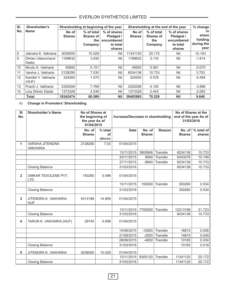## - EVERLON SYNTHETICS LIMITED -

| SI. | Shareholder's                 |                        | Shareholding at beginning of the year            |                                                              |                        | Shareholding at the end of the year              |                                                              | $%$ change                                     |
|-----|-------------------------------|------------------------|--------------------------------------------------|--------------------------------------------------------------|------------------------|--------------------------------------------------|--------------------------------------------------------------|------------------------------------------------|
| No. | <b>Name</b>                   | No of<br><b>Shares</b> | % of total<br><b>Shares of</b><br>the<br>Company | % of shares<br>Pledged /<br>encumbered<br>to total<br>shares | No of<br><b>Shares</b> | % of total<br><b>Shares of</b><br>the<br>Company | % of shares<br>Pledged /<br>encumbered<br>to total<br>shares | in l<br>share<br>holding<br>during the<br>year |
| 8   | Jitendra K. Vakharia          | 3036000                | 10.029                                           | Nil                                                          | 11341120               | 20.172                                           | Nil                                                          | 10.143                                         |
| 9   | Dhiren Uttamchand<br>Dadia    | 1189632                | 3.930                                            | Nil                                                          | 1189632                | 2.116                                            | Nil                                                          | $-1.814$                                       |
| 10  | Mrudu K. Vakharia             | 45600                  | 0.151                                            | Nil                                                          | 45600                  | 0.081                                            | Nil                                                          | $-0.070$                                       |
| 11  | Varsha J. Vakharia            | 2128290                | 7.030                                            | Nil                                                          | 6034136                | 10.733                                           | Nil                                                          | 3.703                                          |
| 12  | Kantilal V. Vakharia<br>(HUF) | 324000                 | 1.070                                            | Nil                                                          | 324000                 | 0.576                                            | Nil                                                          | $-0.494$                                       |
| 13  | Prachi J. Vakharia            | 2352006                | 7.769                                            | Nil                                                          | 2352006                | 4.183                                            | Nil                                                          | $-3.586$                                       |
| 14  | Lina Dhiren Dadia             | 1373328                | 4.536                                            | Nil                                                          | 1373328                | 2.443                                            | Nil                                                          | $-2.093$                                       |
|     | Total                         | 18342474               | 60.589                                           | <b>Nil</b>                                                   | 39483865               | 70.229                                           | <b>Nil</b>                                                   | 9.640                                          |

iii) **Change in Promoters' Shareholding**

| <b>SI</b><br>No.        | <b>Shareholder's Name</b>                 | No of Shares at<br>the beginning of<br>the year As of<br>01/04/2015 |               | Increase/Decrease in shareholding |               |          | No of Shares at the<br>end of the year As of<br>31/03/2016 |            |
|-------------------------|-------------------------------------------|---------------------------------------------------------------------|---------------|-----------------------------------|---------------|----------|------------------------------------------------------------|------------|
|                         |                                           | No. of                                                              | % total<br>of | <b>Date</b>                       | No. of        | Reason   | No. of                                                     | % total of |
|                         |                                           | <b>Shares</b>                                                       | shares        |                                   | <b>Shares</b> |          | <b>Shares</b>                                              | shares     |
| 1                       | <b>VARSHA JITENDRA</b><br><b>VAKHARIA</b> | 2128290                                                             | 7.03          | 01/04/2015                        |               |          |                                                            |            |
|                         |                                           |                                                                     |               | 13/11/2015                        | 3905846       | Transfer | 6034136                                                    | 10.733     |
|                         |                                           |                                                                     |               | 20/11/2015                        | 8940          | Transfer | 6043076                                                    | 10.749     |
|                         |                                           |                                                                     |               | 27/11/2015                        | $-8940$       | Transfer | 6034136                                                    | 10.733     |
|                         | <b>Closing Balance</b>                    |                                                                     |               | 31/03/2016                        |               |          | 6034136                                                    | 10.733     |
| $\overline{\mathbf{2}}$ | OMKAR TEXOLENE PVT.<br>LTD.               | 150260                                                              | 0.496         | 01/04/2015                        |               |          |                                                            |            |
|                         |                                           |                                                                     |               | 13/11/2015                        | 150000        | Transfer | 300260                                                     | 0.534      |
|                         | <b>Closing Balance</b>                    |                                                                     |               | 31/03/2016                        |               |          | 300260                                                     | 0.534      |
| 3                       | JITENDRA K. VAKHARIA<br><b>HUF</b>        | 4513188                                                             | 14.908        | 01/04/2015                        |               |          |                                                            |            |
|                         |                                           |                                                                     |               | 13/11/2015                        | 7700000       | Transfer | 12213188                                                   | 21.723     |
|                         | <b>Closing Balance</b>                    |                                                                     |               | 31/03/2016                        |               |          | 6034136                                                    | 10.733     |
| 4                       | TARUN K. VAKHARIA (HUF)                   | 29740                                                               | 0.098         | 01/04/2015                        |               |          |                                                            |            |
|                         |                                           |                                                                     |               | 14/08/2015                        | $-12925$      | Transfer | 16815                                                      | 0.056      |
|                         |                                           |                                                                     |               | 21/08/2015                        | $-2000$       | Transfer | 14815                                                      | 0.049      |
|                         |                                           |                                                                     |               | 28/08/2015                        | $-4650$       | Transfer | 10165                                                      | 0.034      |
|                         | <b>Closing Balance</b>                    |                                                                     |               | 31/03/2016                        |               |          | 10165                                                      | 0.018      |
| 5                       | JITENDRA K. VAKHARIA                      | 3036000                                                             | 10.029        | 01/04/2015                        |               |          |                                                            |            |
|                         |                                           |                                                                     |               | 13/11/2015                        | 8305120       | Transfer | 11341120                                                   | 20.172     |
|                         | <b>Closing Balance</b>                    |                                                                     |               | 31/03/2016                        |               |          | 11341120                                                   | 20.172     |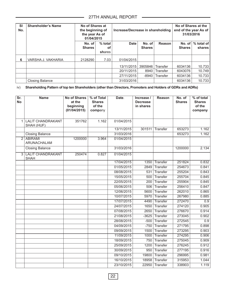## 27TH ANNUAL REPORT

| <b>SI</b><br>No. | <b>Shareholder's Name</b> | No of Shares at<br>the beginning of<br>the year As of<br>01/04/2015 |                           | Increase/Decrease in shareholding |                         |          | No of Shares at the<br>end of the year As of<br>31/03/2016 |                      |  |
|------------------|---------------------------|---------------------------------------------------------------------|---------------------------|-----------------------------------|-------------------------|----------|------------------------------------------------------------|----------------------|--|
|                  |                           | No. of<br><b>Shares</b>                                             | $%$ total<br>οf<br>shares | Date                              | No. of<br><b>Shares</b> | Reason   | $No. of \sqrt{ }Shares$                                    | % total of<br>shares |  |
| 6                | VARSHA J. VAKHARIA        | 2128290                                                             | 7.03                      | 01/04/2015                        |                         |          |                                                            |                      |  |
|                  |                           |                                                                     |                           | 13/11/2015                        | 3905846                 | Transfer | 6034136                                                    | 10.733               |  |
|                  |                           |                                                                     |                           | 20/11/2015                        | 8940                    | Transfer | 6043076                                                    | 10.749               |  |
|                  |                           |                                                                     |                           | 27/11/2015                        | $-8940$                 | Transfer | 6034136                                                    | 10.733               |  |
|                  | <b>Closing Balance</b>    |                                                                     |                           | 31/03/2016                        |                         |          | 6034136                                                    | 10.733               |  |

iv) **Shareholding Pattern of top ten Shareholders (other than Directors, Promoters and Holders of GDRs and ADRs)**

| Sr.<br><b>No</b> | <b>Name</b>                             | <b>No of Shares</b><br>at the<br>beginning | % of Total<br><b>Shares</b><br>of the | Date.      | Increase /<br><b>Decrease</b><br>in shares | Reason        | No. of<br><b>Shares</b> | % of total<br><b>Shares</b><br>of the |
|------------------|-----------------------------------------|--------------------------------------------|---------------------------------------|------------|--------------------------------------------|---------------|-------------------------|---------------------------------------|
|                  |                                         | (01/04/2015)                               | company                               |            |                                            |               |                         | company                               |
| 1                | <b>LALIT CHANDRAKANT</b><br>SHAH (HUF)  | 351762                                     | 1.162                                 | 01/04/2015 |                                            |               |                         |                                       |
|                  |                                         |                                            |                                       | 13/11/2015 | 301511                                     | Transfer      | 653273                  | 1.162                                 |
|                  | <b>Closing Balance</b>                  |                                            |                                       | 31/03/2016 |                                            |               | 653273                  | 1.162                                 |
| $\overline{2}$   | <b>ABIRAMI</b><br>ARUNACHALAM           | 1200000                                    | 3.964                                 | 01/04/2015 |                                            |               |                         |                                       |
|                  | <b>Closing Balance</b>                  |                                            |                                       | 31/03/2016 |                                            |               | 1200000                 | 2.134                                 |
| 3 <sup>1</sup>   | <b>LALIT CHANDRAKANT</b><br><b>SHAH</b> | 250474                                     | 0.827                                 | 01/04/2015 |                                            |               |                         |                                       |
|                  |                                         |                                            |                                       | 17/04/2015 |                                            | 1350 Transfer | 251824                  | 0.832                                 |
|                  |                                         |                                            |                                       | 01/05/2015 | 2849                                       | Transfer      | 254673                  | 0.841                                 |
|                  |                                         |                                            |                                       | 08/08/2015 | 531                                        | Transfer      | 255204                  | 0.843                                 |
|                  |                                         |                                            |                                       | 15/05/2015 | 500                                        | Transfer      | 255704                  | 0.845                                 |
|                  |                                         |                                            |                                       | 22/05/2015 | 200                                        | Transfer      | 255904                  | 0.845                                 |
|                  |                                         |                                            |                                       | 05/06/2015 | 506                                        | Transfer      | 256410                  | 0.847                                 |
|                  |                                         |                                            |                                       | 12/06/2015 | 5600                                       | Transfer      | 262010                  | 0.865                                 |
|                  |                                         |                                            |                                       | 10/07/2015 | 5970                                       | Transfer      | 267980                  | 0.885                                 |
|                  |                                         |                                            |                                       | 17/07/2015 | 4490                                       | Transfer      | 272470                  | 0.9                                   |
|                  |                                         |                                            |                                       | 24/07/2015 | 1650                                       | Transfer      | 274120                  | 0.905                                 |
|                  |                                         |                                            |                                       | 07/08/2015 | 2650                                       | Transfer      | 276670                  | 0.914                                 |
|                  |                                         |                                            |                                       | 21/08/2015 | $-3625$                                    | Transfer      | 273045                  | 0.902                                 |
|                  |                                         |                                            |                                       | 28/08/2015 | $-500$                                     | Transfer      | 272545                  | 0.9                                   |
|                  |                                         |                                            |                                       | 04/09/2015 | $-750$                                     | Transfer      | 271795                  | 0.898                                 |
|                  |                                         |                                            |                                       | 09/09/2015 | 1500                                       | Transfer      | 273295                  | 0.903                                 |
|                  |                                         |                                            |                                       | 11/09/2015 | 1000                                       | Transfer      | 274295                  | 0.906                                 |
|                  |                                         |                                            |                                       | 18/09/2015 | 750                                        | Transfer      | 275045                  | 0.909                                 |
|                  |                                         |                                            |                                       | 25/09/2015 | 1200                                       | Transfer      | 276245                  | 0.912                                 |
|                  |                                         |                                            |                                       | 30/09/2015 | 950                                        | Transfer      | 277195                  | 0.916                                 |
|                  |                                         |                                            |                                       | 09/10/2015 | 19800                                      | Transfer      | 296995                  | 0.981                                 |
|                  |                                         |                                            |                                       | 16/10/2015 | 18958                                      | Transfer      | 315953                  | 1.044                                 |
|                  |                                         |                                            |                                       | 23/10/2015 | 22950                                      | Transfer      | 338903                  | 1.119                                 |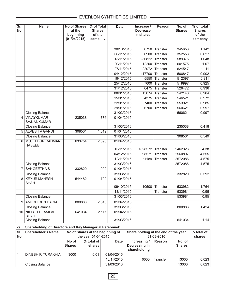## - EVERLON SYNTHETICS LIMITED -

| Sr.<br><b>No</b> | <b>Name</b>                             | <b>No of Shares</b><br>at the<br>beginning<br>(01/04/2015) | % of Total<br><b>Shares</b><br>of the<br>company | Date.      | Increase /<br><b>Decrease</b><br>in shares | Reason         | No. of<br><b>Shares</b> | % of total<br><b>Shares</b><br>of the<br>company |
|------------------|-----------------------------------------|------------------------------------------------------------|--------------------------------------------------|------------|--------------------------------------------|----------------|-------------------------|--------------------------------------------------|
|                  |                                         |                                                            |                                                  | 30/10/2015 |                                            | 6750 Transfer  | 345653                  | 1.142                                            |
|                  |                                         |                                                            |                                                  | 06/11/2015 | 6900                                       | Transfer       | 352553                  | 0.627                                            |
|                  |                                         |                                                            |                                                  | 13/11/2015 | 236822                                     | Transfer       | 589375                  | 1.048                                            |
|                  |                                         |                                                            |                                                  | 20/11/2015 |                                            | 12200 Transfer | 601575                  | 1.07                                             |
|                  |                                         |                                                            |                                                  | 27/11/2015 | 22972                                      | Transfer       | 624547                  | 1.111                                            |
|                  |                                         |                                                            |                                                  | 04/12/2015 | $-117700$                                  | Transfer       | 506847                  | 0.902                                            |
|                  |                                         |                                                            |                                                  | 18/12/2015 | 5550                                       | Transfer       | 512397                  | 0.911                                            |
|                  |                                         |                                                            |                                                  | 25/12/2015 | 7600                                       | Transfer       | 519997                  | 0.925                                            |
|                  |                                         |                                                            |                                                  | 31/12/2015 | 6475                                       | Transfer       | 526472                  | 0.936                                            |
|                  |                                         |                                                            |                                                  | 08/01/2016 | 15674                                      | Transfer       | 542146                  | 0.964                                            |
|                  |                                         |                                                            |                                                  | 15/01/2016 |                                            | 4375 Transfer  | 546521                  | 0.972                                            |
|                  |                                         |                                                            |                                                  | 22/01/2016 | 7400                                       | Transfer       | 553921                  | 0.985                                            |
|                  |                                         |                                                            |                                                  | 29/01/2016 | 6700                                       | Transfer       | 560621                  | 0.997                                            |
|                  | <b>Closing Balance</b>                  |                                                            |                                                  | 31/03/2016 |                                            |                | 560621                  | 0.997                                            |
|                  | 4 VINAYKUMAR<br>SAJJANKUMAR             | 235038                                                     | 776                                              | 01/04/2015 |                                            |                |                         |                                                  |
|                  | <b>Closing Balance</b>                  |                                                            |                                                  | 31/03/2016 |                                            |                | 235038                  | 0.418                                            |
| 5 <sup>1</sup>   | <b>ALPESH A GANDHI</b>                  | 308501                                                     | 1.019                                            | 01/04/2015 |                                            |                |                         |                                                  |
|                  | <b>Closing Balance</b>                  |                                                            |                                                  | 31/03/2016 |                                            |                | 308501                  | 0.549                                            |
| 6 I              | <b>MUJEEBUR RAHMAN</b><br><b>HABEEB</b> | 633754                                                     | 2.093                                            | 01/04/2015 |                                            |                |                         |                                                  |
|                  |                                         |                                                            |                                                  | 13/11/2015 | 1828572 Transfer                           |                | 2462326                 | 4.38                                             |
|                  |                                         |                                                            |                                                  | 04/12/2015 | 98571                                      | Transfer       | 2560897                 | 4.555                                            |
|                  |                                         |                                                            |                                                  | 12/11/2015 | 11189                                      | Transfer       | 2572086                 | 4.575                                            |
|                  | <b>Closing Balance</b>                  |                                                            |                                                  | 31/03/2016 |                                            |                | 2572086                 | 4.575                                            |
| 7                | SANGEETHA S                             | 332820                                                     | 1.099                                            | 01/04/2015 |                                            |                |                         |                                                  |
|                  | <b>Closing Balance</b>                  |                                                            |                                                  | 31/03/2016 |                                            |                | 332820                  | 0.592                                            |
|                  | 8 KEYUR MAHESH<br><b>SHAH</b>           | 544482                                                     | 1.799                                            | 01/04/2015 |                                            |                |                         |                                                  |
|                  |                                         |                                                            |                                                  | 09/10/2015 | $-10500$                                   | Transfer       | 533982                  | 1.764                                            |
|                  |                                         |                                                            |                                                  | 13/11/2015 | $-1$                                       | Transfer       | 533981                  | 0.95                                             |
|                  | <b>Closing Balance</b>                  |                                                            |                                                  | 31/03/2016 |                                            |                | 533981                  | 0.95                                             |
| $\overline{9}$   | <b>AMI DHIREN DADIA</b>                 | 800886                                                     | 2.645                                            | 01/04/2015 |                                            |                |                         |                                                  |
|                  | <b>Closing Balance</b>                  |                                                            |                                                  | 31/03/2016 |                                            |                | 800886                  | 1.424                                            |
|                  | 10 NILESH DIRAJLAL<br><b>SHAH</b>       | 641034                                                     | 2.117                                            | 01/04/2015 |                                            |                |                         |                                                  |
|                  | <b>Closing Balance</b>                  |                                                            |                                                  | 31/03/2016 |                                            |                | 641034                  | 1.14                                             |

v) **Shareholding of Directors and Key Managerial Personnel:**

| <b>SI</b><br>No. | <b>Shareholder's Name</b> | No of Shares at the beginning of<br>the year 01-04-2015 |                              |            | Share holding at the end of the year<br>31-03-2016 | % total of<br>shares |                         |       |
|------------------|---------------------------|---------------------------------------------------------|------------------------------|------------|----------------------------------------------------|----------------------|-------------------------|-------|
|                  |                           | No of I<br><b>Shares</b>                                | % total of $\vert$<br>shares | Date       | Increasing /<br>Decreasing in<br>shareholding      | Reason               | No. of<br><b>Shares</b> |       |
|                  | DINESH P. TURAKHIA        | 3000                                                    | 0.01                         | 01/04/2015 |                                                    |                      |                         |       |
|                  |                           |                                                         |                              | 13/11/2015 | 10000                                              | Transfer             | 13000                   | 0.023 |
|                  | <b>Closing Balance</b>    |                                                         |                              | 31/03/2016 |                                                    |                      | 13000                   | 0.023 |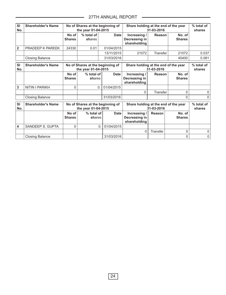## 27TH ANNUAL REPORT

 $\overline{\phantom{0}}$ 

| <b>SI</b><br>No. | <b>Shareholder's Name</b> | No of Shares at the beginning of<br>the year 01-04-2015 |                                                         |                                                    | Share holding at the end of the year<br>31-03-2016 |            | % total of<br>shares    |                      |
|------------------|---------------------------|---------------------------------------------------------|---------------------------------------------------------|----------------------------------------------------|----------------------------------------------------|------------|-------------------------|----------------------|
|                  |                           | No of<br><b>Shares</b>                                  | % total of<br>shares                                    | <b>Date</b>                                        | Increasing /<br>Decreasing in<br>shareholding      | Reason     | No. of<br><b>Shares</b> |                      |
| $\overline{2}$   | PRADEEP K PAREEK          | 24330                                                   | 0.01                                                    | 01/04/2015                                         |                                                    |            |                         |                      |
|                  |                           |                                                         |                                                         | 13/11/2015                                         | 21072                                              | Transfer   | 21072                   | 0.037                |
|                  | <b>Closing Balance</b>    |                                                         |                                                         | 31/03/2016                                         |                                                    |            | 45400                   | 0.081                |
| SI<br>No.        | <b>Shareholder's Name</b> | No of Shares at the beginning of<br>the year 01-04-2015 |                                                         | Share holding at the end of the year<br>31-03-2016 |                                                    |            | % total of<br>shares    |                      |
|                  |                           | No of<br><b>Shares</b>                                  | % total of<br>shares                                    | <b>Date</b>                                        | Increasing /<br>Decreasing in<br>shareholding      | Reason     | No. of<br><b>Shares</b> |                      |
| 3                | <b>NITIN I PARIKH</b>     | $\Omega$                                                | $\Omega$ .                                              | 01/04/2015                                         |                                                    |            |                         |                      |
|                  |                           |                                                         |                                                         |                                                    | 0                                                  | Transfer   | $\Omega$                | $\Omega$             |
|                  | <b>Closing Balance</b>    |                                                         |                                                         | 31/03/2016                                         |                                                    |            | 0                       | $\Omega$             |
| SI<br>No.        | <b>Shareholder's Name</b> |                                                         | No of Shares at the beginning of<br>the year 01-04-2015 |                                                    | Share holding at the end of the year               | 31-03-2016 |                         | % total of<br>shares |
|                  |                           | No of<br><b>Shares</b>                                  | % total of<br>shares                                    | <b>Date</b>                                        | Increasing /<br>Decreasing in<br>shareholding      | Reason     | No. of<br><b>Shares</b> |                      |
| 4                | SANDEEP S. GUPTA          | $\Omega$                                                | $\mathbf{0}$ .                                          | 01/04/2015                                         |                                                    |            |                         |                      |
|                  |                           |                                                         |                                                         |                                                    | 0                                                  | Transfer   | 0                       | $\Omega$             |
|                  | <b>Closing Balance</b>    |                                                         |                                                         | 31/03/2016                                         |                                                    |            | 0                       | $\mathbf 0$          |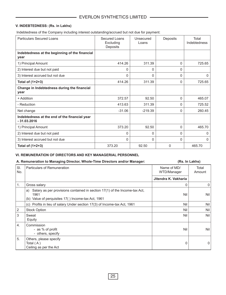#### **V. INDEBTEDNESS: (Rs. in Lakhs)**

Indebtedness of the Company including interest outstanding/accrued but not due for payment:

| <b>Particulars Secured Loans</b>                             | Secured Loans<br>Excluding<br>Deposits | Unsecured<br>Loans | Deposits | Total<br>Indebtedness |
|--------------------------------------------------------------|----------------------------------------|--------------------|----------|-----------------------|
| Indebtedness at the beginning of the financial<br>year       |                                        |                    |          |                       |
| 1) Principal Amount                                          | 414.26                                 | 311.39             | 0        | 725.65                |
| 2) Interest due but not paid                                 | $\Omega$                               | 0                  | 0        |                       |
| 3) Interest accrued but not due                              | $\Omega$                               | $\Omega$           | 0        | $\Omega$              |
| Total of (1+2+3)                                             | 414.26                                 | 311.39             | 0        | 725.65                |
| Change in Indebtedness during the financial<br>year          |                                        |                    |          |                       |
| + Addition                                                   | 372.57                                 | 92.50              | $\Omega$ | 465.07                |
| - Reduction                                                  | 413.63                                 | 311.39             | 0        | 725.52                |
| Net change                                                   | $-31.06$                               | $-219.39$          | 0        | 260.45                |
| Indebtedness at the end of the financial year<br>-31.03.2016 |                                        |                    |          |                       |
| 1) Principal Amount                                          | 373.20                                 | 92.50              | 0        | 465.70                |
| 2) Interest due but not paid                                 | $\Omega$                               | 0                  | 0        | $\Omega$              |
| 3) Interest accrued but not due                              | $\Omega$                               | 0                  | 0        | 0                     |
| Total of (1+2+3)                                             | 373.20                                 | 92.50              | 0        | 465.70                |

#### **VI. REMUNERATION OF DIRECTORS AND KEY MANAGERIAL PERSONNEL**

#### **A. Remuneration to Managing Director, Whole-Time Directors and/or Manager: (Rs. In Lakhs)**

| SI.<br>No. | <b>Particulars of Remuneration</b>                                                                                                                | Name of MD/<br>WTD/Manager | Total<br>Amount |
|------------|---------------------------------------------------------------------------------------------------------------------------------------------------|----------------------------|-----------------|
|            |                                                                                                                                                   | Jitendra K. Vakharia       |                 |
| 1.         | Gross salary                                                                                                                                      | 0                          | 0               |
|            | Salary as per provisions contained in section 17(1) of the Income-tax Act,<br>a)<br>1961<br>Value of perquisites 17() Income-tax Act, 1961<br>(b) | Nil                        | Nil             |
|            | (c) Profits in lieu of salary Under section 17(3) of Income-tax Act, 1961                                                                         | Nil                        | Nil             |
| 2          | <b>Stock Option</b>                                                                                                                               | Nil                        | Nil             |
| 3          | Sweat<br>Equity                                                                                                                                   | Nil                        | Nil             |
| 4.         | Commission<br>- as % of profit<br>- others, specify                                                                                               | Nil                        | Nil             |
| 5.         | Others, please specify<br>Total (A)<br>Ceiling as per the Act                                                                                     | 0                          | 0               |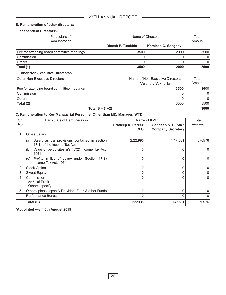#### **B. Remuneration of other directors:**

#### **I. Independent Directors:-**

| Particulars of<br>Remuneration             | Name of Directors  | Total<br>Amount            |      |
|--------------------------------------------|--------------------|----------------------------|------|
|                                            | Dinesh P. Turakhia | <b>Kamlesh C. Sanghavi</b> |      |
| Fee for attending board committee meetings | 3500               | 2000                       | 5500 |
| Commission                                 |                    |                            |      |
| <b>Others</b>                              |                    |                            |      |
| Total (1)                                  | 3500               | 2000                       | 5500 |

#### **II. Other Non-Executive Directors:-**

| Other Non-Executive Directors              | Name of Non-Executive Directors | Total  |  |  |  |
|--------------------------------------------|---------------------------------|--------|--|--|--|
|                                            | Varsha J Vakharia               | Amount |  |  |  |
| Fee for attending board committee meetings | 3500                            | 3500   |  |  |  |
| Commission                                 |                                 |        |  |  |  |
| <b>Others</b>                              |                                 |        |  |  |  |
| Total (2)                                  | 3500                            | 3500   |  |  |  |
| Total B = $(1+2)$                          |                                 |        |  |  |  |

#### **C. Remuneration to Key Managerial Personnel Other than MD/ Manager/ WTD**

| Sr.       | Particulars of Remuneration                                                         |                                 | Name of KMP                                    | Total    |
|-----------|-------------------------------------------------------------------------------------|---------------------------------|------------------------------------------------|----------|
| <b>No</b> |                                                                                     | Pradeep K. Pareek<br><b>CFO</b> | Sandeep S. Gupta *<br><b>Company Secretary</b> | Amount   |
|           | <b>Gross Salary</b>                                                                 |                                 |                                                |          |
|           | Salary as per provisions contained in section<br>(a)<br>17(1) of the Income Tax Act | 2,22,995                        | 1,47,581                                       | 370576   |
|           | Value of perquisites u/s 17(2) Income Tax Act,<br>(b)<br>1961                       | $\mathbf{0}$                    | $\Omega$                                       | 0        |
|           | Profits in lieu of salary under Section 17(3)<br>(C)<br>Income Tax Act, 1961        | $\Omega$                        | 0                                              | $\Omega$ |
| 2         | <b>Stock Option</b>                                                                 | $\Omega$                        | 0                                              | U        |
| 3         | <b>Sweat Equity</b>                                                                 | $\Omega$                        | 0                                              | U        |
| 4         | Commission<br>- As % of Profit<br>- Others, specify                                 | $\Omega$                        | 0                                              | $\Omega$ |
| 5         | Others, please specify Provident Fund & other Funds                                 | $\Omega$                        | 0                                              | U        |
|           | Performance Bonus                                                                   | $\Omega$                        | 0                                              | $\Omega$ |
|           | Total (C)                                                                           | 222995                          | 147581                                         | 370576   |

**\*Appointed w.e.f. 6th August 2015**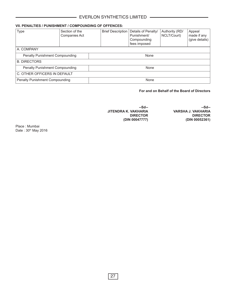## - EVERLON SYNTHETICS LIMITED -

## **VII. PENALTIES / PUNISHMENT / COMPOUNDING OF OFFENCES:**

| Type                                  | Section of the<br><b>Companies Act</b> |      | <b>Brief Description</b> | Details of Penalty/<br>Punishment/<br>Compounding<br>fees imposed | Authority (RD/<br>NCLT/Court) | Appeal<br>made if any<br>(give details) |
|---------------------------------------|----------------------------------------|------|--------------------------|-------------------------------------------------------------------|-------------------------------|-----------------------------------------|
| A. COMPANY                            |                                        |      |                          |                                                                   |                               |                                         |
| <b>Penalty Punishment Compounding</b> |                                        | None |                          |                                                                   |                               |                                         |
| <b>B. DIRECTORS</b>                   |                                        |      |                          |                                                                   |                               |                                         |
| Penalty Punishment Compounding        |                                        |      |                          | None                                                              |                               |                                         |
| C. OTHER OFFICERS IN DEFAULT          |                                        |      |                          |                                                                   |                               |                                         |
| <b>Penalty Punishment Compounding</b> |                                        |      |                          | None                                                              |                               |                                         |

#### **For and on Behalf of the Board of Directors**

| --Sd--             |
|--------------------|
| VARSHA J. VAKHARIA |
| <b>DIRECTOR</b>    |
| (DIN 00052361)     |

 **--Sd-- --Sd-- JITENDRA K. VAKHARIA**<br>DIRECTOR  **DIRECTOR DIRECTOR (DIN 00047777) (DIN 00052361)**

Place : Mumbai Date: 30<sup>th</sup> May 2016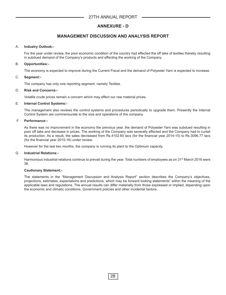## **ANNEXURE - D**

## **MANAGEMENT DISCUSSION AND ANALYSIS REPORT**

#### A. **Industry Outlook:-**

For the year under review, the poor economic condition of the country had effected the off take of textiles thereby resulting in subdued demand of the Company's products and effecting the working of the Company.

#### B. **Opportunities:-**

The economy is expected to improve during the Current Fiscal and the demand of Polyester Yarn is expected to increase.

#### C. **Segment:-**

The company has only one reporting segment, namely Textiles.

#### D. **Risk and Concerns:-**

Volatile crude prices remain a concern which may effect our raw material prices.

#### E. **Internal Control Systems:-**

The management also reviews the control systems and procedures periodically to upgrade them. Presently the Internal Control System are commensurate to the size and operations of the company.

#### F. **Performance:-**

As there was no improvement in the economy the previous year, the demand of Polyester Yarn was subdued resulting in poor off take and decrease in prices. The working of the Company was severally effected and the Company had to curtail its production. As a result, the sales decreased from Rs.4102.60 lacs (for the financial year 2014-15) to Rs.3096.77 lacs (for the financial year 2015-16) under review.

. However for the last two months, the company is running its plant to the Optimum capacity.

#### G. **Industrial Relations:-**

Harmonious industrial relations continue to prevail during the year. Total numbers of employees as on 31<sup>st</sup> March 2016 were 36.

#### **Cautionary Statement;-**.

The statements in the "Management Discussion and Analysis Report" section describes the Company's objectives, projections, estimates, expectations and predictions, which may be forward looking statements" within the meaning of the applicable laws and regulations. The annual results can differ materially from those expressed or implied, depending upon the economic and climatic conditions, Government policies and other incidental factors.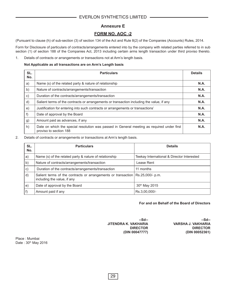## EVERLON SYNTHETICS LIMITED

## **Annexure E**

## **FORM NO. AOC -2**

(Pursuant to clause (h) of sub-section (3) of section 134 of the Act and Rule 8(2) of the Companies (Accounts) Rules, 2014.

Form for Disclosure of particulars of contracts/arrangements entered into by the company with related parties referred to in sub section (1) of section 188 of the Companies Act, 2013 including certain arms length transaction under third proviso thereto.

1. Details of contracts or arrangements or transactions not at Arm's length basis.

#### **Not Applicable as all transactions are on Arm's Length basis**

| SL.<br>No.    | <b>Particulars</b>                                                                                                   | <b>Details</b> |
|---------------|----------------------------------------------------------------------------------------------------------------------|----------------|
| a)            | Name (s) of the related party & nature of relationship                                                               | <b>N.A.</b>    |
| b)            | Nature of contracts/arrangements/transaction                                                                         | <b>N.A.</b>    |
| $\mathsf{c})$ | Duration of the contracts/arrangements/transaction                                                                   | <b>N.A.</b>    |
| d)            | Salient terms of the contracts or arrangements or transaction including the value, if any                            | <b>N.A.</b>    |
| e)            | Justification for entering into such contracts or arrangements or transactions'                                      | <b>N.A.</b>    |
| f)            | Date of approval by the Board                                                                                        | <b>N.A.</b>    |
| g)            | Amount paid as advances, if any                                                                                      | <b>N.A.</b>    |
| h)            | Date on which the special resolution was passed in General meeting as required under first<br>proviso to section 188 | <b>N.A.</b>    |

2. Details of contracts or arrangements or transactions at Arm's length basis.

| SL.<br>No. | <b>Particulars</b>                                                                           | <b>Details</b>                             |
|------------|----------------------------------------------------------------------------------------------|--------------------------------------------|
| a)         | Name (s) of the related party & nature of relationship                                       | Teekay International & Director Interested |
| b)         | Nature of contracts/arrangements/transaction                                                 | Lease Rent                                 |
| c)         | Duration of the contracts/arrangements/transaction                                           | 11 months                                  |
| d)         | Salient terms of the contracts or arrangements or transaction<br>including the value, if any | Rs.25,000/- p.m.                           |
| e)         | Date of approval by the Board                                                                | 30th May 2015                              |
|            | Amount paid if any                                                                           | Rs.3,00,000/-                              |

#### **For and on Behalf of the Board of Directors**

 **--Sd-- --Sd-- JITENDRA K. VAKHARIA VARSHA J. VAKHARIA DIRECTOR DIRECTOR**

 **(DIN 00047777) (DIN 00052361)**

Place : Mumbai Date : 30th May 2016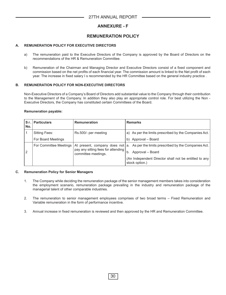## **ANNEXURE - F**

## **REMUNERATION POLICY**

#### **A. REMUNERATION POLICY FOR EXECUTIVE DIRECTORS**

- a) The remuneration paid to the Executive Directors of the Company is approved by the Board of Directors on the recommendations of the HR & Remuneration Committee.
- b) Remuneration of the Chairman and Managing Director and Executive Directors consist of a fixed component and commission based on the net profits of each financial year. The commission amount is linked to the Net profit of each year. The increase in fixed salary I s recommended by the HR Committee based on the general industry practice .

#### **B. REMUNERATION POLICY FOR NON-EXECUTIVE DIRECTORS**

Non-Executive Directors of a Company's Board of Directors add substantial value to the Company through their contribution to the Management of the Company. In addition they also play an appropriate control role. For best utilizing the Non - Executive Directors, the Company has constituted certain Committees of the Board.

#### **Remuneration payable:**

| No. | Sr. Particulars      | <b>Remuneration</b>                                                     | <b>Remarks</b>                                        |
|-----|----------------------|-------------------------------------------------------------------------|-------------------------------------------------------|
|     | <b>Sitting Fees:</b> | Rs.500/- per meeting                                                    | a) As per the limits prescribed by the Companies Act. |
|     | For Board Meetings   |                                                                         | Approval - Board<br>b)                                |
|     |                      | For Committee Meetings   At present, company does not                   | a. As per the limits prescribed by the Companies Act. |
| 2   |                      | pay any sitting fees for attending<br>committee meetings.               | Approval - Board<br>b.                                |
|     |                      | (An Independent Director shall not be entitled to any<br>stock option.) |                                                       |

#### **C. Remuneration Policy for Senior Managers**

- 1. The Company while deciding the remuneration package of the senior management members takes into consideration the employment scenario, remuneration package prevailing in the industry and remuneration package of the managerial talent of other comparable industries.
- 2. The remuneration to senior management employees comprises of two broad terms Fixed Remuneration and Variable remuneration in the form of performance incentive.
- 3. Annual increase in fixed remuneration is reviewed and then approved by the HR and Remuneration Committee.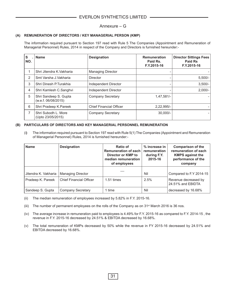## Annexure – G

#### **(A) REMUNERATION OF DIRECTORS / KEY MANAGERIAL PERSON (KMP)**

The information required pursuant to Section 197 read with Rule 5 The Companies (Appointment and Remuneration of Managerial Personnel) Rules, 2014 in respect of the Company and Directors is furnished hereunder:-

| S<br>NO. | <b>Name</b>                                  | <b>Designation</b>             | <b>Remuneration</b><br>Paid Rs.<br>F.Y.2015-16 | <b>Director Sittings Fees</b><br>Paid Rs<br>F.Y.2015-16 |
|----------|----------------------------------------------|--------------------------------|------------------------------------------------|---------------------------------------------------------|
| 1        | Shri Jitendra K. Vakharia                    | <b>Managing Director</b>       |                                                |                                                         |
| 2        | Smt Varsha J. Vakharia                       | <b>Director</b>                |                                                | $5,500/-$                                               |
| 3        | Shri Dinesh P.Turakhia                       | Independent Director           |                                                | $3,500/-$                                               |
| 4        | Shri Kamlesh C.Sanghvi                       | Independent Director           |                                                | $2.000/-$                                               |
| 5        | Shri Sandeep S. Gupta<br>(w.e.f. 06/08/2015) | <b>Company Secretary</b>       | 1,47,581/-                                     |                                                         |
| 6        | Shri Pradeep K.Pareek                        | <b>Chief Financial Officer</b> | $2,22,995/-$                                   |                                                         |
| 7        | Shri Subodh L. More<br>(Upto 23/05/2015)     | <b>Company Secretary</b>       | $30.000/-$                                     |                                                         |

#### **(B) PARTICULARS OF DIRECTORS AND KEY MANAGERIAL PERSONNEL REMUNERATION**

(i**)** The information required pursuant to Section 197 read with Rule 5(1) The Companies (Appointment and Remuneration of Managerial Personnel) Rules, 2014 is furnished hereunder:-

| <b>Name</b>          | <b>Designation</b>             | Ratio of<br>Remuneration of each<br>Director or KMP to<br>median remuneration<br>of employees | % increase in<br>remuneration<br>during F.Y.<br>2015-16 | <b>Comparison of the</b><br>remuneration of each<br><b>KMPS</b> against the<br>performance of the<br>company |
|----------------------|--------------------------------|-----------------------------------------------------------------------------------------------|---------------------------------------------------------|--------------------------------------------------------------------------------------------------------------|
| Jitendra K. Vakharia | <b>Managing Director</b>       |                                                                                               | Nil                                                     | Compared to F.Y 2014-15                                                                                      |
| Pradeep K. Pareek    | <b>Chief Financial Officer</b> | $1.51 \text{ times}$                                                                          | 2.5%                                                    | Revenue decreased by<br>24.51% and EBIDTA                                                                    |
| Sandeep S. Gupta     | Company Secretary              | 1 time                                                                                        | Nil                                                     | decreased by 16.68%                                                                                          |

(ii) The median remuneration of employees increased by 5.82% in F.Y. 2015-16.

(iii) The number of permanent employees on the rolls of the Company as on  $31<sup>st</sup>$  March 2016 is 36 nos.

- (iv) The average increase in remuneration paid to employees is 4.49% for F.Y. 2015-16 as compared to F.Y. 2014-15 , the revenue in F.Y. 2015-16 decreased by 24.51% & EBITDA decreased by 16.68%.
- (v) The total remuneration of KMPs decreased by 50% while the revenue in FY 2015-16 decreased by 24.51% and EBITDA decreased by 16.68%.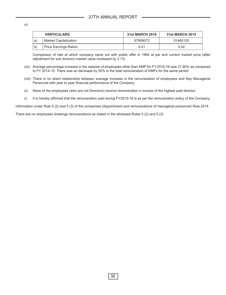vi)

|    | <b>PARTICULARS</b>           | <b>31st MARCH 2016</b> | 31st MARCH 2015 |
|----|------------------------------|------------------------|-----------------|
| a) | <b>Market Capitalization</b> | 57909072               | 51465120        |
| b) | <b>Price Earnings Ration</b> | 0.01                   | 0.02            |

Comparison of rate at which company came out with public offer in 1994 at par and current market price (after adjustment for sub division) market value increased by 3.1%.

- (vii) Average percentage increase in the salaries of employees other than KMP for FY.2015-16 was 21.80% as compared to FY 2014-15. There was an decrease by 50% in the total remuneration of KMPs for the same period.
- (viii) There is no direct relationship between average increase in the remuneration of employees and Key Managerial Personnel with year to year financial performance of the Company.
- ix) None of the employees (who are not Directors) receive remuneration in excess of the highest paid director.
- x) It is hereby affirmed that the remuneration paid during FY2015-16 is as per the remuneration policy of the Company.

Information under Rule 5 (2) and 5 (3) of the companies (Appointment and remunerations of managerial personnel) Rule 2014.

There are no employees drawings remunerations as stated in the aforesaid Rules 5 (2) and 5 (3)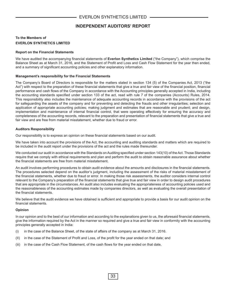## **INDEPENDENT AUDITORS' REPORT**

### **To the Members of EVERLON SYNTHETICS LIMITED**

#### **Report on the Financial Statements**

We have audited the accompanying financial statements of **Everlon Synthetics Limited** ("the Company"), which comprise the Balance Sheet as at March 31, 2016, and the Statement of Profit and Loss and Cash Flow Statement for the year then ended, and a summary of significant accounting policies and other explanatory information.

#### **Management's responsibility for the Financial Statements**

The Company's Board of Directors is responsible for the matters stated in section 134 (5) of the Companies Act, 2013 ("the Act") with respect to the preparation of these financial statements that give a true and fair view of the financial position, financial performance and cash flows of the Company in accordance with the Accounting principles generally accepted in India, including the accounting standards specified under section 133 of the act, read with rule 7 of the companies (Accounts) Rules, 2014. This responsibility also includes the maintenance of adequate accounting records in accordance with the provisions of the act for safeguarding the assets of the company and for preventing and detecting the frauds and other irregularities; selection and application of appropriate accounting policies; making judgment and estimates that are reasonable and prudent; and design, implementation and maintenance of internal financial control, that were operating effectively for ensuring the accuracy and completeness of the accounting records, relevant to the preparation and presentation of financial statements that give a true and fair view and are free from material misstatement, whether due to fraud or error.

#### **Auditors Responsibility**

Our responsibility is to express an opinion on these financial statements based on our audit.

We have taken into account the provisions of the Act, the accounting and auditing standards and matters which are required to be included in the audit report under the provisions of the act and the rules made thereunder.

We conducted our audit in accordance with the Standards on Auditing specified under section 143(10) of the Act. Those Standards require that we comply with ethical requirements and plan and perform the audit to obtain reasonable assurance about whether the financial statements are free from material misstatement.

An audit involves performing procedures to obtain audit evidence about the amounts and disclosures in the financial statements. The procedures selected depend on the auditor's judgment, including the assessment of the risks of material misstatement of the financial statements, whether due to fraud or error. In making those risk assessments, the auditor considers internal control relevant to the Company's preparation of the financial statements that give true and fair view in order to design audit procedures that are appropriate in the circumstances. An audit also includes evaluating the appropriateness of accounting policies used and the reasonableness of the accounting estimates made by companies directors, as well as evaluating the overall presentation of the financial statements.

We believe that the audit evidence we have obtained is sufficient and appropriate to provide a basis for our audit opinion on the financial statements.

#### **Opinion**

In our opinion and to the best of our information and according to the explanations given to us, the aforesaid financial statements, give the information required by the Act in the manner so required and give a true and fair view in conformity with the accounting principles generally accepted in India:

- (i) in the case of the Balance Sheet, of the state of affairs of the company as at March 31, 2016.
- (II) in the case of the Statement of Profit and Loss, of the profit for the year ended on that date; and
- (iii) in the case of the Cash Flow Statement, of the cash flows for the year ended on that date,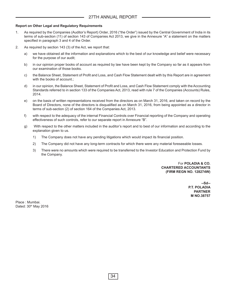#### **Report on Other Legal and Regulatory Requirements**

- 1. As required by the Companies (Auditor's Report) Order, 2016 ("the Order") issued by the Central Government of India in its terms of sub-section (11) of section 143 of Companies Act 2013, we give in the Annexure "A" a statement on the matters specified in paragraph 3 and 4 of the Order.
- 2. As required by section 143 (3) of the Act, we report that:
	- a) we have obtained all the information and explanations which to the best of our knowledge and belief were necessary for the purpose of our audit;
	- b) in our opinion proper books of account as required by law have been kept by the Company so far as it appears from our examination of those books.
	- c) the Balance Sheet, Statement of Profit and Loss, and Cash Flow Statement dealt with by this Report are in agreement with the books of account.;
	- d) in our opinion, the Balance Sheet, Statement of Profit and Loss, and Cash Flow Statement comply with the Accounting Standards referred to in section 133 of the Companies Act, 2013, read with rule 7 of the Companies (Accounts) Rules, 2014.
	- e) on the basis of written representations received from the directors as on March 31, 2016, and taken on record by the Board of Directors, none of the directors is disqualified as on March 31, 2016, from being appointed as a director in terms of sub-section (2) of section 164 of the Companies Act, 2013.
	- f) with respect to the adequacy of the internal Financial Controls over Financial reporting of the Company and operating effectiveness of such controls, refer to our separate report in Annexure "B".
	- g) With respect to the other matters included in the auditor's report and to best of our information and according to the explanation given to us.
		- 1) The Company does not have any pending litigations which would impact its financial position.
		- 2) The Company did not have any long-term contracts for which there were any material foreseeable losses.
		- 3) There were no amounts which were required to be transferred to the Investor Education and Protection Fund by the Company.

 For **POLADIA & CO. CHARTERED ACCOUNTANTS (FIRM REGN NO. 128274W)**

> **--Sd-- P.T. POLADIA PARTNER M NO.38757**

Place : Mumbai. Dated: 30<sup>th</sup> May 2016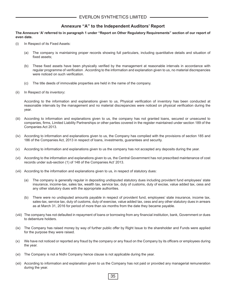## **Annexure "A" to the Independent Auditors' Report**

#### **The Annexure 'A' referred to in paragraph 1 under "Report on Other Regulatory Requirements" section of our report of even date.**

- (i) In Respect of its Fixed Assets:
	- (a) The company is maintaining proper records showing full particulars, including quantitative details and situation of fixed assets;
	- (b) These fixed assets have been physically verified by the management at reasonable intervals in accordance with regular programme of verification . According to the information and explanation given to us, no material discrepancies were noticed on such verification.
	- (c) The title deeds of immovable properties are held in the name of the company.
- (ii) In Respect of its inventory**:**

According to the information and explanations given to us, Physical verification of inventory has been conducted at reasonable intervals by the management and no material discrepancies were noticed on physical verification during the year.

- (iii) According to information and explanations given to us, the company has not granted loans, secured or unsecured to companies, firms, Limited Liability Partnerships or other parties covered in the register maintained under section 189 of the Companies Act 2013.
- (iv) According to information and explanations given to us, the Company has complied with the provisions of section 185 and 186 of the Companies Act, 2013 in respect of loans, investments, guarantees and security.
- (v) According to information and explanations given to us the company has not accepted any deposits during the year.
- (vi) According to the information and explanations given to us, the Central Government has not prescribed maintenance of cost records under sub-section (1) of 148 of the Companies Act' 2013.
- (vii) According to the information and explanations given to us, in respect of statutory dues:
	- (a) The company is generally regular in depositing undisputed statutory dues including provident fund employees' state insurance, income-tax, sales tax, wealth tax, service tax, duty of customs, duty of excise, value added tax, cess and any other statutory dues with the appropriate authorities.
	- (b) There were no undisputed amounts payable in respect of provident fund, employees' state insurance, income tax, sales-tax, service tax, duty of customs, duty of exercise, value added tax, cess and any other statutory dues in arrears as at March 31, 2016 for period of more than six months from the date they became payable.
- (viii) The company has not defaulted in repayment of loans or borrowing from any financial institution, bank, Government or dues to debenture holders.
- (ix) The Company has raised money by way of further public offer by Right Issue to the shareholder and Funds were applied for the purpose they were raised.
- (x) We have not noticed or reported any fraud by the company or any fraud on the Company by its officers or employees during the year.
- (xi) The Company is not a Nidhi Company hence clause is not applicable during the year.
- (xii) According to information and explanation given to us the Company has not paid or provided any managerial remuneration during the year.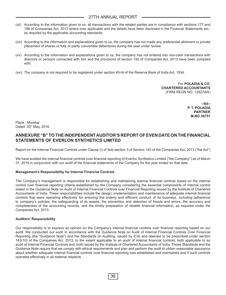- (xii) According to the information given to us, all transactions with the related parties are in compliance with sections 177 and 188 of Companies Act, 2013 where ever applicable and the details have been disclosed in the Financial Statements etc., as required by the applicable accounting standards.
- (xiv) According to the information and explanations given to us, the company has not made any preferential allotment or private placement of shares or fully or partly convertible debentures during the year under review.
- (xv) According to the information and explanations given to us, the company has not entered into non-cash transactions with directors or persons connected with him and the provisions of section 192 of Companies Act, 2013 have been complied with;
- (xvi) The company is not required to be registered under section 45-IA of the Reserve Bank of India Act, 1934.

For **POLADIA & CO**. **CHARTERED ACCOUNTANTS** (FIRM REGN NO. 128274W)

> **--Sd-- P. T. POLADIA PARTNER M.NO.38757**

Place : Mumbai Dated: 30<sup>th</sup> May, 2016

## **ANNEXURE "B" TO THE INDEPENDENT AUDITOR'S REPORT OF EVEN DATE ON THE FINANCIAL STATEMENTS OF EVERLON SYNTHETICS LIMITED**

Report on the Internal Financial Controls under Clause (i) of Sub-section 3 of Section 143 of the Companies Act, 2013 ("the Act")

We have audited the internal financial controls over financial reporting of Everlon Synthetics Limited ("the Company") as of March 31, 2016 in conjunction with our audit of the financial statements of the Company for the year ended on that date.

#### **Management's Responsibility for Internal Financial Controls**

The Company's management is responsible for establishing and maintaining internal financial controls based on the internal control over financial reporting criteria established by the Company considering the essential components of internal control stated in the Guidance Note on Audit of Internal Financial Controls over Financial Reporting issued by the Institute of Chartered Accountants of India. These responsibilities include the design, implementation and maintenance of adequate internal financial controls that were operating effectively for ensuring the orderly and efficient conduct of its business, including adherence to company's policies, the safeguarding of its assets, the prevention and detection of frauds and errors, the accuracy and completeness of the accounting records, and the timely preparation of reliable financial information, as required under the Companies Act, 2013.

#### **Auditors' Responsibility**

Our responsibility is to express an opinion on the Company's internal financial controls over financial reporting based on our audit. We conducted our audit in accordance with the Guidance Note on Audit of Internal Financial Controls Over Financial Reporting (the "Guidance Note") and the Standards on Auditing, issued by ICAI and deemed to be prescribed under section 143(10) of the Companies Act, 2013, to the extent applicable to an audit of internal financial controls, both applicable to an audit of Internal Financial Controls and, both issued by the Institute of Chartered Accountants of India. Those Standards and the Guidance Note require that we comply with ethical requirements and plan and perform the audit to obtain reasonable assurance about whether adequate internal financial controls over financial reporting was established and maintained and if such controls operated effectively in all material respects.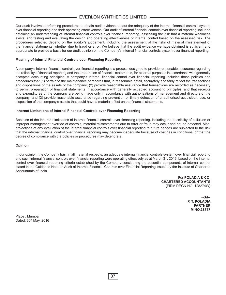## EVERLON SYNTHETICS LIMITED

Our audit involves performing procedures to obtain audit evidence about the adequacy of the internal financial controls system over financial reporting and their operating effectiveness. Our audit of internal financial controls over financial reporting included obtaining an understanding of internal financial controls over financial reporting, assessing the risk that a material weakness exists, and testing and evaluating the design and operating effectiveness of internal control based on the assessed risk. The procedures selected depend on the auditor's judgement, including the assessment of the risks of material misstatement of the financial statements, whether due to fraud or error. We believe that the audit evidence we have obtained is sufficient and appropriate to provide a basis for our audit opinion on the Company's internal financial controls system over financial reporting.

#### **Meaning of Internal Financial Controls over Financing Reporting**

A company's internal financial control over financial reporting is a process designed to provide reasonable assurance regarding the reliability of financial reporting and the preparation of financial statements, for external purposes in accordance with generally accepted accounting principles. A company's internal financial control over financial reporting includes those policies and procedures that (1) pertain to the maintenance of records that, in reasonable detail, accurately and fairly reflect the transactions and dispositions of the assets of the company; (2) provide reasonable assurance that transactions are recorded as necessary to permit preparation of financial statements in accordance with generally accepted accounting principles, and that receipts and expenditures of the company are being made only in accordance with authorisations of management and directors of the company; and (3) provide reasonable assurance regarding prevention or timely detection of unauthorised acquisition, use, or disposition of the company's assets that could have a material effect on the financial statements.

#### **Inherent Limitations of Internal Financial Controls over Financing Reporting**

Because of the inherent limitations of internal financial controls over financing reporting, including the possibility of collusion or improper management override of controls, material misstatements due to error or fraud may occur and not be detected. Also, projections of any evaluation of the internal financial controls over financial reporting to future periods are subjected to the risk that the internal financial control over financial reporting may become inadequate because of changes in conditions, or that the degree of compliance with the policies or procedures may deteriorate .

#### **Opinion**

In our opinion, the Company has, in all material respects, an adequate internal financial controls system over financial reporting and such internal financial controls over financial reporting were operating effectively as at March 31, 2016, based on the internal control over financial reporting criteria established by the Company considering the essential components of internal control stated in the Guidance Note on Audit of Internal Financial Controls over Financial Reporting issued by the Institute of Chartered Accountants of India.

> For **POLADIA & CO**. **CHARTERED ACCOUNTANTS** (FIRM REGN NO. 128274W)

> > **--Sd-- P. T. POLADIA PARTNER M.NO.38757**

Place : Mumbai Dated: 30<sup>th</sup> May, 2016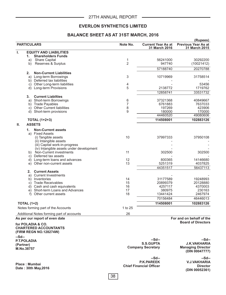#### 27TH ANNUAL REPORT

#### **EVERLON SYNTHETICS LIMITED**

## **BALANCE SHEET AS AT 31ST MARCH, 2016**

|        |                                                        |                |                                            | (Rupees)                                    |
|--------|--------------------------------------------------------|----------------|--------------------------------------------|---------------------------------------------|
|        | <b>PARTICULARS</b>                                     | Note No.       | <b>Current Year As at</b><br>31 March 2016 | <b>Previous Year As at</b><br>31 March 2015 |
| L.     | <b>EQUITY AND LIABILITIES</b>                          |                |                                            |                                             |
|        | <b>Shareholders Funds</b><br>1.                        |                |                                            |                                             |
|        | <b>Share Capital</b><br>a)                             | 1              | 56241000                                   | 30292200                                    |
|        | Reserves & Surplus<br>b)                               | $\overline{2}$ | 947740                                     | (10021412)                                  |
|        |                                                        |                | 57188740                                   | 20270788                                    |
|        | <b>Non-Current Liabilities</b><br>2.                   |                |                                            |                                             |
|        | a) Long-term Borrowings                                | 3              | 10719969                                   | 31758514                                    |
|        | b) Deferred tax liabilities                            |                |                                            |                                             |
|        | c) Other Long-term liabilities                         | 4              |                                            | 53456                                       |
|        | d) Long-term Provisions                                | 5              | 2138772                                    | 1719762                                     |
|        |                                                        |                | 12858741                                   | 33531732                                    |
|        | <b>Current Liabilties</b><br>3.                        |                |                                            |                                             |
|        | a) Short-term Borrowings                               | 6              | 37321368                                   | 40849667                                    |
|        | b) Trade Payables                                      | 7              | 6761883                                    | 7637033                                     |
|        | c) Other Current liabilities                           | 8              | 197269                                     | 423906                                      |
|        | d) Short-term provisions                               | 9              | 180000                                     | 170000                                      |
|        |                                                        |                | 44460520                                   | 49080606                                    |
|        | <b>TOTAL (1+2+3)</b>                                   |                | 114508001                                  | 102883126                                   |
| Ш.     | <b>ASSETS</b>                                          |                |                                            |                                             |
|        | <b>Non-Current assets</b><br>1.                        |                |                                            |                                             |
|        | a) Fixed Assets                                        |                |                                            |                                             |
|        | (i) Tangible assets                                    | 10             | 37997333                                   | 37950108                                    |
|        | (ii) Intangible assets                                 |                |                                            |                                             |
|        | (iii) Capital work-in-progress                         |                |                                            |                                             |
|        | (iv) Intangible assets under development               |                |                                            |                                             |
|        | b) Non-Current investments<br>c) Deferred tax assets   | 11             | 302500                                     | 302500                                      |
|        | d) Long-term loans and advances                        | 12             | 800365                                     | 14146680                                    |
|        | e) Other non-current assets                            | 13             | 5251319                                    | 4037825                                     |
|        |                                                        |                | 44351517                                   | 56437113                                    |
|        | 2.<br><b>Current Assets</b>                            |                |                                            |                                             |
|        | a) Current Investments                                 |                |                                            |                                             |
|        | b) Inventories                                         | 14             | 31177589                                   | 19248993                                    |
|        | c) Trade Receivables                                   | 15             | 20899379                                   | 20128880                                    |
|        | d) Cash and cash equivalents                           | 16             | 4257117                                    | 4370003                                     |
|        | e) Short-term Loans and Advances                       | 17             | 380975                                     | 230163                                      |
|        | f) Other current assets                                | 18             | 13441424                                   | 2467974                                     |
|        |                                                        |                | 70156484                                   | 46446013                                    |
|        | <b>TOTAL (1+2)</b>                                     |                | 114508001                                  | 102883126                                   |
|        | Notes forming part of the Accounts                     | 1 to 25        |                                            |                                             |
|        | Additional Notes forming part of accounts              | 26             |                                            |                                             |
|        | As per our report of even date                         |                |                                            | For and on behalf of the                    |
|        | for POLADIA & CO.                                      |                |                                            | <b>Board of Directors</b>                   |
|        | <b>CHARTERED ACCOUNTANTS</b><br>(FIRM REGN NO.128274W) |                |                                            |                                             |
| --Sd-- |                                                        |                |                                            |                                             |

**--Sd-- P.T.POLADIA (Partner) M.No.38757**

**Place : Mumbai Date : 30th May,2016**

**--Sd-- S.S.GUPTA Company Secretary**

**--Sd-- P.K.PAREEK Chief Financial Officer**

**--Sd-- J.K.VAKHARIA Managing Director (DIN 00047777)**

> **--Sd-- V.J.VAKHARIA Director (DIN 00052361)**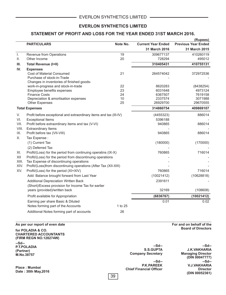## **EVERLON SYNTHETICS LIMITED**

## **STATEMENT OF PROFIT AND LOSS FOR THE YEAR ENDED 31ST MARCH 2016.**

|       |                                                                    |          |                           | (Rupees)                   |
|-------|--------------------------------------------------------------------|----------|---------------------------|----------------------------|
|       | <b>PARTICULARS</b>                                                 | Note No. | <b>Current Year Ended</b> | <b>Previous Year Ended</b> |
|       |                                                                    |          | 31 March 2016             | 31 March 2015              |
| I.    | Revenue from Operations                                            | 19       | 309677137                 | 410260119                  |
| ΙΙ.   | Other Income                                                       | 20       | 728294                    | 495012                     |
| III.  | Total Revenue (I+II)                                               |          | 310405431                 | 410755131                  |
| IV.   | <b>Expenses</b>                                                    |          |                           |                            |
|       | Cost of Material Consumed                                          | 21       | 264574042                 | 372972536                  |
|       | Purchase of stock-in-Trade                                         |          |                           |                            |
|       | Changes in inventories of finished goods-                          |          |                           |                            |
|       | work-in-progress and stock-in-trade                                | 22       | 8620283                   | (8438254)                  |
|       | Employee benefits expenses                                         | 23       | 6031648                   | 4973124                    |
|       | <b>Finance Costs</b>                                               | 24<br>10 | 6367507<br>2337574        | 7619158<br>3071988         |
|       | Depreciation & amortisation expenses<br><b>Other Expenses</b>      | 25       | 26929700                  | 29670555                   |
|       |                                                                    |          |                           |                            |
|       | <b>Total Expenses</b>                                              |          | 314860754                 | 409869107                  |
| V.    | Profit before exceptional and extraordinary items and tax (III-IV) |          | (4455323)                 | 886014                     |
| VI.   | <b>Exceptional Items</b>                                           |          | 5396188                   |                            |
| VII.  | Profit before extraordinary items and tax (V-VI)                   |          | 940865                    | 886014                     |
| VIII. | <b>Extraordinary Items</b>                                         |          |                           |                            |
| IX.   | Profit before tax (VII-VIII)                                       |          | 940865                    | 886014                     |
| Х.    | Tax Expense:                                                       |          |                           |                            |
|       | (1) Current Tax                                                    |          | (180000)                  | (170000)                   |
|       | (2) Deferred Tax                                                   |          |                           |                            |
| XI.   | Profit/(Loss) for the period from continuing operatins (IX-X)      |          | 760865                    | 716014                     |
| XII   | Profit/(Loss) for the period from discontinuing operations         |          |                           |                            |
| XIII. | Tax Expense of discontinuing operations                            |          |                           |                            |
| XIV.  | Profit/(Loss)from discontinuing operations (After Tax (XII-XIII)   |          |                           |                            |
| XV.   | Profit/(Loss) for the period (XI+XIV)                              |          | 760865                    | 716014                     |
|       | Add: Balance brought forward from Last Year                        |          | (10021412)                | (10628818)                 |
|       | <b>Additional Depreciation Written Back</b>                        |          | 2391611                   |                            |
|       | (Short)/Excess provision for Income Tax for earlier                |          |                           |                            |
|       | years (provided)/written back                                      |          | 32169                     | (108608)                   |
|       | Profit available for Appropriation                                 |          | (6836767)                 | (10021412)                 |
|       | Earning per share Basic & Diluted                                  |          | 0.01                      | 0.02                       |
|       | Notes forming part of the Accounts                                 | 1 to 25  |                           |                            |
|       | Additional Notes forming part of accounts                          | 26       |                           |                            |
|       |                                                                    |          |                           |                            |

**Board of Directors for POLADIA & CO. CHARTERED ACCOUNTANTS (FIRM REGN NO.128274W) --Sd-- P.T.POLADIA (Partner) M.No.38757**

**Place : Mumbai Date : 30th May,2016**

As per our report of even date<br> **As per our report of even date**<br> **As per our report of even date**<br> **For and on behalf of the**<br> **For and on behalf of the**<br> **For and on behalf of the** 

**--Sd-- S.S.GUPTA Company Secretary**

**--Sd-- P.K.PAREEK Chief Financial Officer**

**--Sd-- J.K.VAKHARIA Managing Director (DIN 00047777) --Sd-- V.J.VAKHARIA Director (DIN 00052361)**

39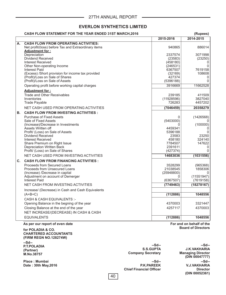## **EVERLON SYNTHETICS LIMITED**

#### **CASH FLOW STATEMENT FOR THE YEAR ENDED 31ST MARCH,2016 (Rupees)**

|    |                                                                             | 2015-2016            | 2014-2015               |
|----|-----------------------------------------------------------------------------|----------------------|-------------------------|
| А. | <b>CASH FLOW FROM OPERATING ACTIVITIES:</b>                                 |                      |                         |
|    | Net profit/(loss) before Tax and Extraordinary items<br>Adjustment for:     | 940865               | 886014                  |
|    | Depreciation                                                                | 2337574              | 3071998                 |
|    | <b>Dividend Received</b>                                                    | (23583)              | (23250)                 |
|    | <b>Interest Received</b>                                                    | (458180)             | O                       |
|    | Other Non-operating Income                                                  | (246531)             | 0                       |
|    | Interest Paid                                                               | 6367507              | 7619158                 |
|    | (Excess) /Short provision for income tax provided                           | (32169)              | 108608                  |
|    | (Profit)/Loss on Sale of Shares                                             | 427374               | 0                       |
|    | (Profit)/Loss on Sale of Assets                                             | (5396188)            | 0                       |
|    | Operating profit before working capital charges                             | 3916669              | 11662528                |
|    | Adjustment for:                                                             |                      |                         |
|    | Trade and Other Receivables                                                 | 239185               | 411509                  |
|    | Inventories                                                                 | (11928596)           | 3827040                 |
|    | <b>Trade Payable</b>                                                        | 726283               | 4457202                 |
|    | NET CASH USED FROM OPERATING ACTIVITIES                                     | (7046459)            | 20358279                |
| В. | <b>CASH FLOW FROM INVESTING ACTIVITIES :</b>                                |                      |                         |
|    | <b>Purchase of Fixed Assets</b>                                             | 0                    | (1426568)               |
|    | Sale of Fixed Assets                                                        | (5403000)            | 0                       |
|    | (Increase)/Decrease in Investments                                          | 0                    | (100000)                |
|    | Assets Written off                                                          | 4459341              | 0                       |
|    | Profit/ (Loss) on Sale of Assets                                            | 5396188              | $\Omega$                |
|    | <b>Dividend Received</b>                                                    | 23583                | 23250                   |
|    | Interest Received                                                           | 458180               | 324140                  |
|    | Share Premium on Right Issue                                                | 7784507              | 147622                  |
|    | Depreciation Written Back                                                   | 2391611              | 0                       |
|    | Profit/ (Loss) on Sale of Shares<br>NET CASH USED FROM INVESTING ACTIVITIES | (427374)<br>14683036 | 0<br>(1031556)          |
|    |                                                                             |                      |                         |
| C. | <b>CASH FLOW FROM FINANCING ACTIVITIES :</b>                                |                      |                         |
|    | Proceeds from Secured Loans                                                 | 3528299              | (965368)                |
|    | Proceeds from Unsecured Loans                                               | 21038545             | 1858306                 |
|    | (Increase) /Decrease in capital                                             | (25948800)           | 0                       |
|    | Adjustment on account of Demerger<br><b>Interest Paid</b>                   | $\Omega$             | (11551947)              |
|    | NET CASH FROM INVESTING ACTIVITIES                                          | (6367507)            | (7619158)<br>(18278167) |
|    |                                                                             | (7749463)            |                         |
|    | Increase/ (Decrease) in Cash and Cash Equivalents                           |                      |                         |
|    | $(A+B+C)$                                                                   | (112886)             | 1048556                 |
|    | CASH & CASH EQUIVALENTS :-                                                  |                      |                         |
|    | Opening Balance in the begning of the year                                  | 4370003              | 3321447                 |
|    | Closing Balance at the end of the year                                      | 4257117              | 4370003                 |
|    | NET INCREASE/(DECREASE) IN CASH & CASH                                      |                      |                         |
|    | <b>EQUIVALENTS</b>                                                          | (112886)             | 1048556                 |

## As per our report of even date<br> **As per our report of even date For and on behalf of the**<br> **For and on behalf of the**<br> **For and on behalf of the**<br> **For and on behalf of the**

**Board of Directors for POLADIA & CO. CHARTERED ACCOUNTANTS (FIRM REGN NO.128274W)**

**--Sd-- P.T.POLADIA (Partner) M.No.38757**

**Place : Mumbai Date : 30th May,2016**

**--Sd-- S.S.GUPTA Company Secretary**

**--Sd-- P.K.PAREEK Chief Financial Officer**

**--Sd-- J.K.VAKHARIA Managing Director (DIN 00047777) --Sd-- V.J.VAKHARIA**

**Director (DIN 00052361)**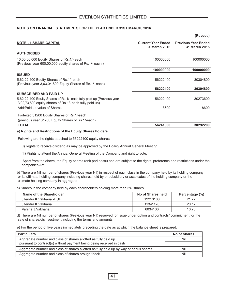**(Rupees)**

#### **NOTES ON FINANCIAL STATEMENTS FOR THE YEAR ENDED 31ST MARCH, 2016**

|                                                                                                                                  |                                            | (Rupees)                                    |
|----------------------------------------------------------------------------------------------------------------------------------|--------------------------------------------|---------------------------------------------|
| <b>NOTE - 1 SHARE CAPITAL</b>                                                                                                    | <b>Current Year Ended</b><br>31 March 2016 | <b>Previous Year Ended</b><br>31 March 2015 |
| <b>AUTHORISED</b>                                                                                                                |                                            |                                             |
| 10,00,00,000 Equity Shares of Rs.1/- each<br>(Previous year 600,00,000 equity shares of Rs.1/- each)                             | 100000000                                  | 100000000                                   |
|                                                                                                                                  | 100000000                                  | 100000000                                   |
| <b>ISSUED</b>                                                                                                                    |                                            |                                             |
| 5,62,22,400 Equity Shares of Rs.1/- each<br>(Previous year 3,03,04,800 Equity Shares of Rs.1/- each)                             | 56222400                                   | 30304800                                    |
|                                                                                                                                  | 56222400                                   | 30304800                                    |
| <b>SUBSCRIBED AND PAID UP</b>                                                                                                    |                                            |                                             |
| 5,62,22,400 Equity Shares of Rs.1/- each fully paid up (Previous year<br>3,02,73,600 equity shares of Rs.1/- each fully paid up) | 56222400                                   | 30273600                                    |
| Add: Paid up value of Shares                                                                                                     | 18600                                      | 18600                                       |
| Forfeited 31200 Equity Shares of Rs.1/-each                                                                                      |                                            |                                             |
| (previous year 31200 Equity Shares of Rs.1/-each)                                                                                |                                            |                                             |
| <b>TOTAL</b>                                                                                                                     | 56241000                                   | 30292200                                    |
|                                                                                                                                  |                                            |                                             |

#### a) **Rights and Restrictions of the Equity Shares holders**

Following are the rights attached to 56222400 equity shares:

(I) Rights to receive dividend as may be approved by the Board/ Annual General Meeting.

(II) Rights to attend the Annual General Meeting of the Company and right to vote.

 Apart from the above, the Equity shares rank pari passu and are subject to the rights, preference and restrictions under the companies Act.

b) There are Nil number of shares (Previous year Nil) in respect of each class in the company held by its holding company or its ultimate holding company including shares held by or subsidiary or assoicates of the holding company or the ultimate holding company in aggregate

c) Shares in the company held by each shareholders holding more than 5% shares

| Name of the Shareholder    | No of Shares held | Percentage (%) |
|----------------------------|-------------------|----------------|
| Jitendra K. Vakharia - HUF | 12213188          | 21.72          |
| Jitendra K.Vakharia        | 11341120          | 20.17          |
| Varsha J.Vakharia          | 6034136           | 10.73          |

d) There are Nil number of shares (Previous year Nil) reserved for issue under option and contracts/ commitment for the sale of shares/disinvestment including the terms and amounts.

e) For the period of five years immediately preceding the date as at which the balance sheet is prepared.

| <b>Particulars</b>                                                                     | No of Shares |
|----------------------------------------------------------------------------------------|--------------|
| Aggregate number and class of shares allotted as fully paid up                         | Nil          |
| pursuant to contract(s) without payment being being received in cash                   |              |
| Aggregate number and class of shares allotted as fully paid up by way of bonus shares. | Nil          |
| Aggregate number and class of shares brought back.                                     | Nil          |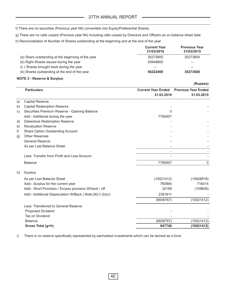f) There are no securities (Previous year Nil) convertible into Equity/Preferential Shares.

g) There are no calls unpaid (Previous year Nil) including calls unpaid by Directors and Officers as on balance sheet date.

h) Reconcialiation of Number of Shares outstanding at the beginning and at the end of the year.

|                                                    | <b>Current Year</b><br>31/03/2016 | <b>Previous Year</b><br>31/03/2015 |
|----------------------------------------------------|-----------------------------------|------------------------------------|
| (a) Shars outstanding at the beginning of the year | 30273600                          | 30273600                           |
| (b) Right Shares issued during the year            | 25948800                          | --                                 |
| (c) Shares brought back during the year            | --                                | --                                 |
| (b) Shares outstanding at the end of the year      | 56222400                          | 30273600                           |
|                                                    |                                   |                                    |

 **(Rupees)**

#### **NOTE 2 - Reserve & Surplus**

|    | <b>Particulars</b>                                     | <b>Current Year Ended</b> | <b>Previous Year Ended</b> |
|----|--------------------------------------------------------|---------------------------|----------------------------|
|    |                                                        | 31.03.2016                | 31.03.2015                 |
| a) | <b>Capital Reserve</b>                                 |                           |                            |
| b) | <b>Capital Redemption Reserve</b>                      |                           |                            |
| C) | Securities Premium Reserve - Opening Balance           | U                         |                            |
|    | Add: Additional during the year                        | 7784507                   |                            |
| d) | Debenture Redemption Reserve                           |                           |                            |
| e) | <b>Revaluation Reserve</b>                             |                           |                            |
| f) | Share Option Outstanding Account                       |                           |                            |
| g) | <b>Other Reserves</b>                                  |                           |                            |
|    | <b>General Reserve</b>                                 |                           |                            |
|    | As per Last Balance Sheet                              |                           |                            |
|    |                                                        |                           |                            |
|    | Less: Transfer from Profit and Loss Account            |                           |                            |
|    | <b>Balance</b>                                         | 7784507                   | 0                          |
| h) | Surplus                                                |                           |                            |
|    | As per Last Balance Sheet                              | (10021412)                | (10628818)                 |
|    | Add:- Surplus for the current year                     | 760865                    | 716014                     |
|    | Add:- Short Provision / Excess provision W/back / off  | 32169                     | (108608)                   |
|    | Add:- Additional Depreciation W/Back (Note:26(1)(b)(v) | 2391611                   |                            |
|    |                                                        | (6836767)                 | (10021412)                 |
|    | Less: Transferred to General Reserve                   |                           |                            |
|    | <b>Proposed Dividend</b>                               |                           |                            |
|    | Tax on Dividend                                        |                           |                            |
|    | <b>Balance</b>                                         | (6836767)                 | (10021412)                 |
|    | Gross Total (g+h)                                      | 947740                    | (10021412)                 |

i) There is no reserve specifically represented by earmarked investments which can be termed as a fund.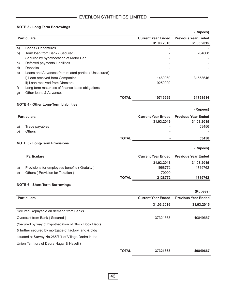## **NOTE 3 - Long Term Borrowings**

|          |                                                       |              |                           | (Rupees)                   |
|----------|-------------------------------------------------------|--------------|---------------------------|----------------------------|
|          | <b>Particulars</b>                                    |              | <b>Current Year Ended</b> | <b>Previous Year Ended</b> |
|          |                                                       |              | 31.03.2016                | 31.03.2015                 |
| a)       | Bonds / Debentures                                    |              |                           |                            |
| b)       | Term loan from Bank (Secured)                         |              |                           | 204868                     |
|          | Secured by hypothecation of Motor Car                 |              |                           |                            |
| C)<br>d) | Deferred payments Liabilities<br>Deposits             |              |                           |                            |
| e)       | Loans and Advances from related parties (Unsecured)   |              |                           |                            |
|          | i) Loan received from Companies                       |              | 1469969                   | 31553646                   |
|          | ii) Loan received from Directors                      |              | 9250000                   |                            |
| f)       | Long term maturities of finance lease obligations     |              |                           |                            |
| g)       | Other Ioans & Advances                                |              |                           |                            |
|          |                                                       | <b>TOTAL</b> | 10719969                  | 31758514                   |
|          | <b>NOTE 4 - Other Long-Term Liabilities</b>           |              |                           |                            |
|          |                                                       |              |                           | (Rupees)                   |
|          | <b>Particulars</b>                                    |              | <b>Current Year Ended</b> | <b>Previous Year Ended</b> |
|          |                                                       |              | 31.03.2016                | 31.03.2015                 |
| a)       | Trade payables                                        |              |                           | 53456                      |
| b)       | <b>Others</b>                                         |              |                           |                            |
|          |                                                       | <b>TOTAL</b> |                           | 53456                      |
|          | <b>NOTE 5 - Long-Term Provisions</b>                  |              |                           |                            |
|          |                                                       |              |                           | (Rupees)                   |
|          | <b>Particulars</b>                                    |              | <b>Current Year Ended</b> | <b>Previous Year Ended</b> |
|          |                                                       |              | 31.03.2016                | 31.03.2015                 |
| a)       | Provisions for employees benefits (Gratuity)          |              | 1968772                   | 1719762                    |
| b)       | Others (Provision for Taxation)                       |              | 170000                    |                            |
|          |                                                       | <b>TOTAL</b> | 2138772                   | 1719762                    |
|          | <b>NOTE 6 - Short Term Borrowings</b>                 |              |                           |                            |
|          |                                                       |              |                           | (Rupees)                   |
|          | <b>Particulars</b>                                    |              | <b>Current Year Ended</b> | <b>Previous Year Ended</b> |
|          |                                                       |              | 31.03.2016                | 31.03.2015                 |
|          | Secured Repayable on demand from Banks                |              |                           |                            |
|          | Overdraft from Bank (Secured)                         |              | 37321368                  | 40849667                   |
|          | (Secured by way of hypothecation of Stock, Book Debts |              |                           |                            |
|          | & further secured by mortgage of factory land & bldg  |              |                           |                            |
|          | situated at Survey No.265/7/1 of Village Dadra in the |              |                           |                            |
|          | Union Territtory of Dadra, Nagar & Haveli)            |              |                           |                            |
|          |                                                       | <b>TOTAL</b> | 37321368                  | 40849667                   |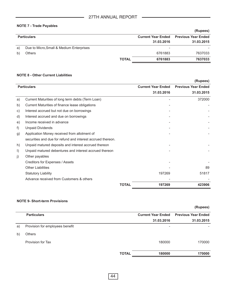## **NOTE 7 - Trade Payables**

|    |                                          |              |                          | (Rupees)                                      |
|----|------------------------------------------|--------------|--------------------------|-----------------------------------------------|
|    | <b>Particulars</b>                       |              |                          | <b>Current Year Ended</b> Previous Year Ended |
|    |                                          |              | 31.03.2016               | 31.03.2015                                    |
| a) | Due to Micro, Small & Medium Enterprises |              | $\overline{\phantom{0}}$ |                                               |
| b) | <b>Others</b>                            |              | 6761883                  | 7637033                                       |
|    |                                          | <b>TOTAL</b> | 6761883                  | 7637033                                       |

#### **NOTE 8 - Other Current Liabilities**

|         |                                                             |              |                           | (Rupees)                   |
|---------|-------------------------------------------------------------|--------------|---------------------------|----------------------------|
|         | <b>Particulars</b>                                          |              | <b>Current Year Ended</b> | <b>Previous Year Ended</b> |
|         |                                                             |              | 31.03.2016                | 31.03.2015                 |
| a)      | Current Maturities of long term debts (Term Loan)           |              |                           | 372000                     |
| b)      | Current Maturities of finance lease obligations             |              |                           |                            |
| C)      | Interest accrued but not due on borrowings                  |              |                           |                            |
| d)      | Interest accrued and due on borrowings                      |              |                           |                            |
| e)      | Income received in advance                                  |              |                           |                            |
| f)      | <b>Unpaid Dividends</b>                                     |              |                           |                            |
| g)      | Application Money received from allotment of                |              |                           |                            |
|         | securities and due for refund and interest accrued thereon. |              |                           |                            |
| h)      | Unpaid matured deposits and interest accrued thereon        |              |                           |                            |
| $\vert$ | Unpaid matured debentures and interest accrued thereon      |              |                           |                            |
| j)      | Other payables                                              |              |                           |                            |
|         | Creditors for Expenses / Assets                             |              |                           |                            |
|         | <b>Other Liabilities</b>                                    |              |                           | 89                         |
|         | <b>Statutory Liability</b>                                  |              | 197269                    | 51817                      |
|         | Advance received from Customers & others                    |              |                           |                            |
|         |                                                             | <b>TOTAL</b> | 197269                    | 423906                     |

#### **NOTE 9- Short-term Provisions**

|    |                                 |              |                           | (Rupees)                   |
|----|---------------------------------|--------------|---------------------------|----------------------------|
|    | <b>Particulars</b>              |              | <b>Current Year Ended</b> | <b>Previous Year Ended</b> |
|    |                                 |              | 31.03.2016                | 31.03.2015                 |
| a) | Provision for employees benefit |              | $\overline{\phantom{0}}$  |                            |
| b) | <b>Others</b>                   |              |                           |                            |
|    | Provision for Tax               |              | 180000                    | 170000                     |
|    |                                 | <b>TOTAL</b> | 180000                    | 170000                     |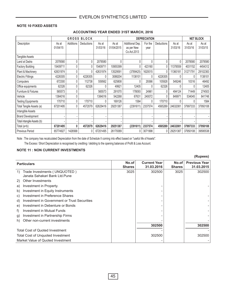## - EVERLON SYNTHETICS LIMITED -

## **NOTE 10 FIXED ASSETS**

## **ACCOUNTING YEAR ENDED 31ST MARCH, 2016**

|                            | <b>GROSS BLOCK</b><br><b>DEPRECIATION</b> |              |            |                   |                     | <b>NET BLOCK</b>                             |                 |                   |                   |                   |                   |
|----------------------------|-------------------------------------------|--------------|------------|-------------------|---------------------|----------------------------------------------|-----------------|-------------------|-------------------|-------------------|-------------------|
| Description                | As at<br>01/04/15                         | Additions    | Deductions | As at<br>31/03/16 | As at<br>01/04/2015 | Additional Dep.<br>as per New<br>Co.Act.2013 | For the<br>year | <b>Deductions</b> | As at<br>31/03/16 | As at<br>31/03/16 | As at<br>31/03/15 |
| Tangible Assets            |                                           |              |            |                   |                     |                                              |                 |                   |                   |                   |                   |
| Land at Dadra              | 2078580                                   | 0            | 0          | 2078580           | 0                   | 0                                            | 0               | 0                 | 0                 | 2078580           | 2078580           |
| <b>Factory Building</b>    | 15409711                                  | $\mathbf{0}$ | 0          | 15409711          | 10955399            | $\Omega$                                     | 423160          |                   | 11378559          | 4031152           | 4454312           |
| Plant & Machinery          | 42631974                                  | 0            | 0          | 42631974          | 13529591            | (3789425)                                    | 1620015         |                   | 11360181          | 31271791          | 29102383          |
| <b>Electric Fittings</b>   | 4226305                                   | 0            | 4226305    | 0                 | 3088204             | 1138101                                      | 0               | 4226305           | 0                 | 0                 | 1138101           |
| Computers                  | 672300                                    | 0            | 112738     | 559562            | 625808              |                                              | 29366           | 105928            | 549246            | 10316             | 46492             |
| Office equipments          | 62326                                     | $\Omega$     | 62326      | 0                 | 49921               | 12405                                        | 0               | 62326             | 0                 | 0                 | 12405             |
| Furniture & Fixtures       | 565573                                    | 0            |            | 565573            | 291070              | 178093                                       | 24961           | 0                 | 494124            | 71449             | 274503            |
| Vehicle                    | 1384016                                   | 0            |            | 1384016           | 542268              | 67631                                        | 240072          | 0                 | 849971            | 534045            | 841748            |
| <b>Testing Equipments</b>  | 170710                                    | $\mathbf{0}$ | 170710     | 0                 | 169126              | 1584                                         | 0               | 170710            | <sup>0</sup>      | 0                 | 1584              |
| Total Tangile Assets (a)   | 67201495                                  | $\Omega$     | 4572079    | 62629416          | 29251387            | (2391611)                                    | 2337574         | 4565269           | 24632081          | 37997333          | 37950108          |
| Intangible Assets          |                                           |              |            |                   |                     |                                              |                 |                   |                   |                   |                   |
| <b>Brand Development</b>   |                                           |              |            |                   |                     |                                              |                 |                   |                   |                   |                   |
| Total intangile Assets (b) |                                           |              |            |                   |                     |                                              |                 |                   |                   |                   |                   |
| Total (a+b)                | 67201495                                  | 0            | 4572079    | 62629416          | 29251387            | (2391611)                                    | 2337574         | 4565269           | 24632081          | 37997333          | 37950108          |
| <b>Previous Period</b>     | 65774927                                  | 1426568      | N          | 67201495          | 26179389            | 0                                            | 3071998         |                   | 29251387          | 37950108          | 39595538          |

Note : The company has recalculated Depreciation from the date of Schedule II coming into effect based on "useful life of Assets".

The Excess / Short Depreciation is recognised by crediting / debiting to the opening balances of Profit & Loss Account.

## **NOTE 11 : NON CURRENT INVESTMENTS**

|                | <b>Particulars</b>                                              | No.of<br><b>Shares</b> | <b>Current Year</b><br>31.03.2016 | No.of<br><b>Shares</b> | <b>Previous Year</b><br>31.03.2015 |
|----------------|-----------------------------------------------------------------|------------------------|-----------------------------------|------------------------|------------------------------------|
| 1)             | Trade Investments ( UNQUOTED )<br>Janata Sahakari Bank Ltd.Pune | 3025                   | 302500                            | 3025                   | 302500                             |
| 2)             | Other Investments                                               |                        |                                   |                        |                                    |
| a)             | Investment in Property.                                         |                        |                                   |                        |                                    |
| b)             | Investment in Equity Instruments                                |                        |                                   |                        |                                    |
| C)             | Investment in Preference Shares                                 |                        |                                   |                        |                                    |
| d)             | Investment in Government or Trust Securities                    |                        |                                   |                        |                                    |
| e)             | Investment in Debenture or Bonds                                |                        |                                   |                        |                                    |
| f)             | Investment in Mutual Funds                                      |                        |                                   |                        |                                    |
| $\mathfrak{g}$ | Investment in Partnership Firms                                 |                        |                                   |                        |                                    |
| h)             | Other non-current investments                                   |                        |                                   |                        |                                    |
|                |                                                                 |                        | 302500                            |                        | 302500                             |
|                | <b>Total Cost of Quoted Investment</b>                          |                        |                                   |                        |                                    |
|                | Total Cost of Unquoted Investment                               |                        | 302500                            |                        | 302500                             |
|                | Market Value of Quoted Investment                               |                        |                                   |                        |                                    |

 **(Rupees)**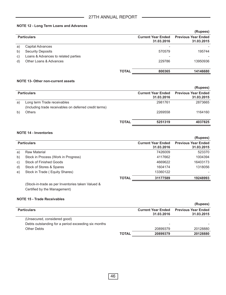#### **NOTE 12 - Long Term Loans and Advances**

|    |                                     |              |                          | (Rupees)                                      |
|----|-------------------------------------|--------------|--------------------------|-----------------------------------------------|
|    | <b>Particulars</b>                  |              |                          | <b>Current Year Ended</b> Previous Year Ended |
|    |                                     |              | 31.03.2016               | 31.03.2015                                    |
| a) | Capital Advances                    |              |                          |                                               |
| b) | <b>Security Deposits</b>            |              | 570579                   | 195744                                        |
| C) | Loans & Advances to related parties |              | $\overline{\phantom{a}}$ |                                               |
| d) | Other Loans & Advances              |              | 229786                   | 13950936                                      |
|    |                                     |              |                          |                                               |
|    |                                     | <b>TOTAL</b> | 800365                   | 14146680                                      |

#### **NOTE 13- Other non-current assets**

|    |                                                                                       |              |            | (Rupees)                                                    |
|----|---------------------------------------------------------------------------------------|--------------|------------|-------------------------------------------------------------|
|    | <b>Particulars</b>                                                                    |              | 31.03.2016 | <b>Current Year Ended</b> Previous Year Ended<br>31.03.2015 |
| a) | Long term Trade receivables<br>(Including trade receivables on deferred credit terms) |              | 2981761    | 2873665                                                     |
| b) | <b>Others</b>                                                                         |              | 2269558    | 1164160                                                     |
|    |                                                                                       | <b>TOTAL</b> | 5251319    | 4037825                                                     |

## **NOTE 14 - Inventories**

|                    |                                     |              |                                         | (Rupees)                                 |
|--------------------|-------------------------------------|--------------|-----------------------------------------|------------------------------------------|
| <b>Particulars</b> |                                     |              | <b>Current Year Ended</b><br>31.03.2016 | <b>Previous Year Ended</b><br>31.03.2015 |
| a)                 | Raw Material                        |              | 7426009                                 | 523370                                   |
| b)                 | Stock in Process (Work in Progress) |              | 4117662                                 | 1004394                                  |
| C)                 | <b>Stock of Finished Goods</b>      |              | 4669622                                 | 16403173                                 |
| d)                 | Stock of Stores & Spares            |              | 1604174                                 | 1318056                                  |
| e)                 | Stock in Trade (Equity Shares)      |              | 13360122                                |                                          |
|                    |                                     | <b>TOTAL</b> | 31177589                                | 19248993                                 |
|                    |                                     |              |                                         |                                          |

(Stock-in-trade as per Inventories taken Valued & Certified by the Management)

## **NOTE 15 - Trade Receivables**

| <b>Current Year Ended</b> Previous Year Ended |            |
|-----------------------------------------------|------------|
| 31.03.2016                                    | 31.03.2015 |
|                                               |            |
| -                                             |            |
| 20899379                                      | 20128880   |
| 20899379                                      | 20128880   |
|                                               |            |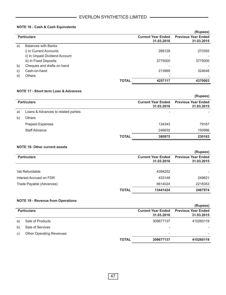## **NOTE 16 - Cash & Cash Equivalents**

|                    |                                |              |                           | (Rupees)                   |
|--------------------|--------------------------------|--------------|---------------------------|----------------------------|
| <b>Particulars</b> |                                |              | <b>Current Year Ended</b> | <b>Previous Year Ended</b> |
|                    |                                |              | 31.03.2016                | 31.03.2015                 |
| a)                 | <b>Balances with Banks</b>     |              |                           |                            |
|                    | i) In Current Accounts         |              | 268128                    | 270355                     |
|                    | ii) In Unpaid Dividend Account |              |                           |                            |
|                    | iii) In Fixed Deposits         |              | 3775000                   | 3775000                    |
| b)                 | Cheques and drafts on hand     |              |                           |                            |
| C)                 | Cash-on-hand                   |              | 213989                    | 324648                     |
| d)                 | <b>Others</b>                  |              |                           |                            |
|                    |                                | <b>TOTAL</b> | 4257117                   | 4370003                    |

#### **NOTE 17 - Short term Loan & Advances**

|    |                                     |              |                                         | (Rupees)                                 |
|----|-------------------------------------|--------------|-----------------------------------------|------------------------------------------|
|    | <b>Particulars</b>                  |              | <b>Current Year Ended</b><br>31.03.2016 | <b>Previous Year Ended</b><br>31.03.2015 |
| a) | Loans & Advances to related parties |              | $\overline{\phantom{0}}$                |                                          |
| b) | Others                              |              |                                         |                                          |
|    | <b>Prepaid Expenses</b>             |              | 134343                                  | 79167                                    |
|    | Staff Advance                       |              | 246632                                  | 150996                                   |
|    |                                     | <b>TOTAL</b> | 380975                                  | 230163                                   |

## **NOTE 18- Other current assets**

|                          |                                         | (Rupees)                                 |
|--------------------------|-----------------------------------------|------------------------------------------|
| <b>Particulars</b>       | <b>Current Year Ended</b><br>31.03.2016 | <b>Previous Year Ended</b><br>31.03.2015 |
|                          |                                         |                                          |
| Vat Refundable           | 4394252                                 |                                          |
| Interest Accrued on FDR  | 433148                                  | 249621                                   |
| Trade Payable (Advances) | 8614024                                 | 2218353                                  |
| <b>TOTAL</b>             | 13441424                                | 2467974                                  |

#### **NOTE 19 - Revenue from Operations**

|    |                                 |              |                                         | (Rupees)                                 |
|----|---------------------------------|--------------|-----------------------------------------|------------------------------------------|
|    | <b>Particulars</b>              |              | <b>Current Year Ended</b><br>31.03.2016 | <b>Previous Year Ended</b><br>31.03.2015 |
| a) | Sale of Products                |              | 309677137                               | 410260119                                |
| b) | Sale of Services                |              | $\overline{\phantom{0}}$                |                                          |
| C) | <b>Other Operating Revenues</b> |              | $\overline{\phantom{a}}$                | $\overline{\phantom{0}}$                 |
|    |                                 | <b>TOTAL</b> | 309677137                               | 410260119                                |
|    |                                 |              |                                         |                                          |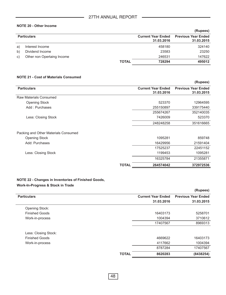$\overline{a}$ 

## **NOTE 20 - Other Income**

|                    |                            |              |            | (Rupees)                                                    |
|--------------------|----------------------------|--------------|------------|-------------------------------------------------------------|
| <b>Particulars</b> |                            |              | 31.03.2016 | <b>Current Year Ended</b> Previous Year Ended<br>31.03.2015 |
|                    |                            |              |            |                                                             |
| a)                 | Interest Income            |              | 458180     | 324140                                                      |
| b)                 | Dividend Income            |              | 23583      | 23250                                                       |
| C)                 | Other non Opertaing Income |              | 246531     | 147622                                                      |
|                    |                            | <b>TOTAL</b> | 728294     | 495012                                                      |

#### **NOTE 21 - Cost of Materials Consumed**

|                                      |              |                                         | (Rupees)                                 |
|--------------------------------------|--------------|-----------------------------------------|------------------------------------------|
| <b>Particulars</b>                   |              | <b>Current Year Ended</b><br>31.03.2016 | <b>Previous Year Ended</b><br>31.03.2015 |
| Raw Materials Consumed               |              |                                         |                                          |
| <b>Opening Stock</b>                 |              | 523370                                  | 12964595                                 |
| Add: Purchases                       |              | 255150897                               | 339175440                                |
|                                      |              | 255674267                               | 352140035                                |
| Less: Closing Stock                  |              | 7426009                                 | 523370                                   |
|                                      |              | 248248258                               | 351616665                                |
| Packing and Other Materials Consumed |              |                                         |                                          |
| <b>Opening Stock</b>                 |              | 1095281                                 | 859748                                   |
| Add: Purchases                       |              | 16429956                                | 21591404                                 |
|                                      |              | 17525237                                | 22451152                                 |
| Less: Closing Stock                  |              | 1199453                                 | 1095281                                  |
|                                      |              | 16325784                                | 21355871                                 |
|                                      | <b>TOTAL</b> | 264574042                               | 372972536                                |

## **NOTE 22 - Changes in Inventories of Finished Goods, Work-In-Progress & Stock in Trade**

|                       |              |                           | (Rupees)                   |
|-----------------------|--------------|---------------------------|----------------------------|
| <b>Particulars</b>    |              | <b>Current Year Ended</b> | <b>Previous Year Ended</b> |
|                       |              | 31.03.2016                | 31.03.2015                 |
| <b>Opening Stock:</b> |              |                           |                            |
| <b>Finished Goods</b> |              | 16403173                  | 5258701                    |
| Work-in-process       |              | 1004394                   | 3710612                    |
|                       |              | 17407567                  | 8969313                    |
| Less: Closing Stock:  |              |                           |                            |
| <b>Finished Goods</b> |              | 4669622                   | 16403173                   |
| Work-in-process       |              | 4117662                   | 1004394                    |
|                       |              | 8787284                   | 17407567                   |
|                       | <b>TOTAL</b> | 8620283                   | (8438254)                  |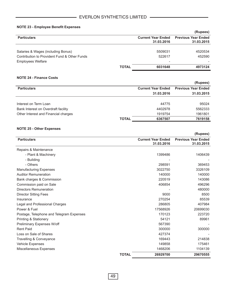## **NOTE 23 - Employee Benefit Expenses**

|                                              |              |                                         | (Rupees)                                 |
|----------------------------------------------|--------------|-----------------------------------------|------------------------------------------|
| <b>Particulars</b>                           |              | <b>Current Year Ended</b><br>31.03.2016 | <b>Previous Year Ended</b><br>31.03.2015 |
| Salaries & Wages (including Bonus)           |              | 5509031                                 | 4520534                                  |
| Contribution to Provident Fund & Other Funds |              | 522617                                  | 452590                                   |
| <b>Employees Welfare</b>                     |              | $\overline{\phantom{0}}$                |                                          |
|                                              | <b>TOTAL</b> | 6031648                                 | 4973124                                  |

#### **NOTE 24 - Finance Costs**

|                                      |            | (Rupees)                                      |
|--------------------------------------|------------|-----------------------------------------------|
| <b>Particulars</b>                   |            | <b>Current Year Ended</b> Previous Year Ended |
|                                      | 31.03.2016 | 31.03.2015                                    |
|                                      |            |                                               |
| Interest on Term Loan                | 44775      | 95024                                         |
| Bank Interest on Overdraft facility  | 4402978    | 5562333                                       |
| Other Interest and Financial charges | 1919754    | 1961801                                       |
| <b>TOTAL</b>                         | 6367507    | 7619158                                       |

#### **NOTE 25 - Other Expenses**

|                                          |              |                                         | (Rupees)                                 |
|------------------------------------------|--------------|-----------------------------------------|------------------------------------------|
| <b>Particulars</b>                       |              | <b>Current Year Ended</b><br>31.03.2016 | <b>Previous Year Ended</b><br>31.03.2015 |
| Repairs & Maintenance                    |              |                                         |                                          |
| - Plant & Machinery                      |              | 1399486                                 | 1406439                                  |
| - Building                               |              |                                         |                                          |
| - Others                                 |              | 298591                                  | 369453                                   |
| <b>Manufacturing Expenses</b>            |              | 3022750                                 | 3326109                                  |
| <b>Auditor Remuneration</b>              |              | 140000                                  | 140000                                   |
| Bank charges & Commission                |              | 220519                                  | 143086                                   |
| Commission paid on Sale                  |              | 406854                                  | 496296                                   |
| Directors Remuneration                   |              |                                         | 480000                                   |
| <b>Director Sitting Fees</b>             |              | 9000                                    | 8500                                     |
| Insurance                                |              | 270254                                  | 85539                                    |
| Legal and Professional Charges           |              | 286805                                  | 407984                                   |
| Power & Fuel                             |              | 17568926                                | 20699030                                 |
| Postage, Telephone and Telegram Expenses |              | 170123                                  | 223720                                   |
| Printing & Stationery                    |              | 54121                                   | 89961                                    |
| Preliminary Expenses W/off               |              | 567390                                  |                                          |
| <b>Rent Paid</b>                         |              | 300000                                  | 300000                                   |
| Loss on Sale of Shares                   |              | 427374                                  |                                          |
| Travelling & Conveyance                  |              | 169443                                  | 214838                                   |
| <b>Vehicle Expenses</b>                  |              | 149858                                  | 175461                                   |
| Miscellaneous Expenses                   |              | 1468206                                 | 1104139                                  |
|                                          | <b>TOTAL</b> | 26929700                                | 29670555                                 |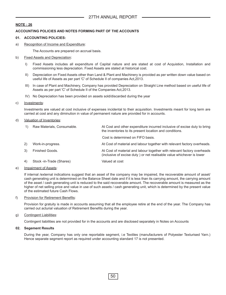#### **NOTE : 26**

#### **ACCOUNTING POLICIES AND NOTES FORMING PART OF THE ACCOUNTS**

#### **01. ACCOUNTING POLICIES:**

a) Recognition of Income and Expenditure:

The Accounts are prepared on accrual basis.

- b) Fixed Assets and Depreciation:
	- I) Fixed Assets includes all expenditure of Capital nature and are stated at cost of Acquistion, Installation and commissioning less depreciation. Fixed Assets are stated at historical cost.
	- II) Depreciation on Fixed Assets other than Land & Plant and Machinery is provided as per written down value based on useful life of Assets as per part 'C' of Schedule II of companies Act,2013.
	- III) In case of Plant and Machinery, Company has provided Depreciation on Straight Line method based on useful life of Assets as per part 'C' of Schedule II of the Companies Act,2013.
	- IV) No Depreciation has been provided on assets sold/discarded during the year

#### c) Investments:

Investments are valued at cost inclusive of expenses incidental to their acquisition. Investments meant for long term are carried at cost and any diminution in value of permanent nature are provided for in accounts.

#### d) Valuation of Inventories:

|    | Raw Materials, Consumable. | At Cost and other expenditure incurred inclusive of excise duty to bring<br>the inventories to its present location and conditions.              |
|----|----------------------------|--------------------------------------------------------------------------------------------------------------------------------------------------|
|    |                            | Cost is determined on FIFO basis.                                                                                                                |
|    | Work-in-progress.          | At Cost of material and labour together with relevant factory overheads.                                                                         |
| 3) | Finished Goods.            | At Cost of material and labour together with relevant factory overheads<br>(inclusive of excise duty) or net realisable value whichever is lower |
| 4) | Stock -in-Trade (Shares)   | Valued at cost                                                                                                                                   |

#### e) Impairment of Assets:

If internal /external indications suggest that an asset of the company may be impaired, the recoverable amount of asset/ cash generating unit is determined on the Balance Sheet date and if it is less than its carrying amount, the carrying amount of the asset / cash generating unit is reduced to the said recoverable amount. The recoverable amount is measured as the higher of net selling price and value in use of such assets / cash generating unit, which is determined by the present value of the estimated future Cash Flows.

#### f) Provision for Retirement Benefits:

Provision for gratuity is made in accounts assuming that all the employee retire at the end of the year. The Company has carried out acturial valuation of Retirement Benefits during the year.

#### g) Contingent Liabilities:

Contingent liabilities are not provided for in the accounts and are disclosed separately in Notes on Accounts

#### **02. Segement Results**

During the year, Company has only one reportable segment, i.e Textiles (manufacturers of Polyester Texturised Yarn.) Hence separate segment report as required under accounting standard 17 is not presented.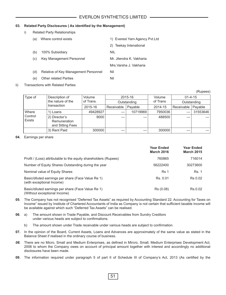#### **03. Related Party Disclosures ( As identified by the Management)**

i) Related Party Relationships

| (a) | Where control exists                 | 1) Everest Yarn Agency Pvt. Ltd |
|-----|--------------------------------------|---------------------------------|
|     |                                      | 2) Teekay Intenational          |
| (b) | 100% Subsidiary                      | <b>NIL</b>                      |
| (C) | Key Management Personnel             | Mr. Jitendra K. Vakharia        |
|     |                                      | Mrs Varsha J. Vakharia          |
| (d) | Relative of Key Management Personnel | Nil                             |
| (e) | <b>Other related Parties</b>         | Nil                             |

ii) Transactions with Related Parties

|                          |                                                    |           |             |          |          |               | ,,,,,,,,,,, |
|--------------------------|----------------------------------------------------|-----------|-------------|----------|----------|---------------|-------------|
| Type of                  | Description of<br>the nature of the<br>transaction | Volume    | 2015-16     |          | Volume   | $01 - 4 - 15$ |             |
|                          |                                                    | of Trans. | Outstanding |          | of Trans | Outstanding   |             |
|                          |                                                    | 2015-16   | Receivable  | Pavable  | 2014-15  | Receivable    | Payable     |
| Where                    | 1) Loans                                           | 49428927  | $---$       | 10719969 | 7950036  | $---$         | 31553646    |
| Control<br><b>Exists</b> | 2) Director's<br>Remuneration<br>and Sitting Fees  | 9000      | ---         | $---$    | 488500   | ---           |             |
|                          | 3) Rent Paid                                       | 300000    | $- - -$     | $---$    | 300000   | ---           |             |

 $(Dunper)$ 

**04.** Earnings per share

|                                                                                    | <b>Year Ended</b><br><b>March 2016</b> | <b>Year Ended</b><br><b>March 2015</b> |
|------------------------------------------------------------------------------------|----------------------------------------|----------------------------------------|
| Profit / (Loss) attributable to the equity shareholders (Rupees)                   | 760865                                 | 716014                                 |
| Number of Equity Shares Outstanding during the year                                | 56222400                               | 30273600                               |
| Nominal value of Equity Shares                                                     | Rs <sub>1</sub>                        | <b>Rs. 1</b>                           |
| Basic/diluted earnings per share (Face Value Re 1)<br>(with exceptional Income)    | Rs. 0.01                               | Rs 0.02                                |
| Basic/diluted earnings per share (Face Value Re 1)<br>(Without exceptional Income) | Rs (0.08)                              | Rs 0.02                                |

- **05**. The Company has not recognised "Deferred Tax Assets" as required by Accounting Standard 22. Accounting for Taxes on Income" issued by Institute of Chartered Accountants of India as Company is not certain that sufficient taxable income will be available against which such "Deferred Tax Assets" can be realised.
- **06**. a) The amount shown in Trade Payable, and Discount Receivables from Sundry Creditors under various heads are subject to confirmations.
	- b) The amount shown under Trade receivable under various heads are subject to confirmation.
- **07.** In the opinion of the Board, Current Assets, Loans and Advances are approximately of the same value as stated in the Balance Sheet if realised in the ordinary course of business.
- *08.* There are no Micro, Small and Medium Enterprises, as defined in Mircro, Small, Medium Enterprises Development Act, 2006 to whom the Company owes on account of principal amount together with interest and accordingly no additional disclosures have been made.
- **09**. The information required under paragraph 5 of part II of Schedule III of Company's Act, 2013 (As certified by the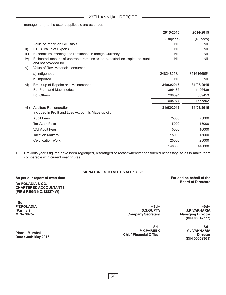#### 27TH ANNUAL REPORT

management) to the extent applicable are as under.

|         |                                                                                                 | 2015-2016   | 2014-2015   |
|---------|-------------------------------------------------------------------------------------------------|-------------|-------------|
|         |                                                                                                 | (Rupees)    | (Rupees)    |
| $\vert$ | Value of Import on CIF Basis                                                                    | <b>NIL</b>  | <b>NIL</b>  |
| ii)     | F.O.B. Value of Exports                                                                         | <b>NIL</b>  | <b>NIL</b>  |
| iii)    | Expenditure, Earning and remittance in foreign Currency                                         | <b>NIL</b>  | <b>NIL</b>  |
| iv)     | Estimated amount of contracts remains to be executed on capital account<br>and not provided for | <b>NIL</b>  | <b>NIL</b>  |
| V)      | Value of Raw Materials consumed                                                                 |             |             |
|         | a) Indigenous                                                                                   | 248248258/- | 351616665/- |
|         | b) Imported                                                                                     | <b>NIL</b>  | <b>NIL</b>  |
| vi)     | Break up of Repairs and Maintenance                                                             | 31/03/2016  | 31/03/2015  |
|         | For Plant and Machineries                                                                       | 1399486     | 1406439     |
|         | For Others                                                                                      | 298591      | 369453      |
|         |                                                                                                 | 1698077     | 1775892     |
| vii)    | <b>Auditors Remuneration</b>                                                                    | 31/03/2016  | 31/03/2015  |
|         | Included in Profit and Loss Account is Made up of:                                              |             |             |
|         | <b>Audit Fees</b>                                                                               | 75000       | 75000       |
|         | <b>Tax Audit Fees</b>                                                                           | 15000       | 15000       |
|         | <b>VAT Audit Fees</b>                                                                           | 10000       | 10000       |
|         | <b>Taxation Matters</b>                                                                         | 15000       | 15000       |
|         | <b>Certification Work</b>                                                                       | 25000       | 25000       |
|         |                                                                                                 | 140000      | 140000      |

**10.** Previous year's figures have been regrouped, rearranged or recast wherever considered necessary, so as to make them comparable with current year figures.

#### **SIGNATORIES TO NOTES NO. 1 O 26**

As per our report of even date<br> **As per our report of even date For and on behalf of the**<br> **For and on behalf of the**<br> **For and on behalf of the** 

**Board of Directors for POLADIA & CO. CHARTERED ACCOUNTANTS (FIRM REGN NO.128274W)**

**--Sd-- P.T.POLADIA (Partner) M.No.38757**

**--Sd-- S.S.GUPTA Company Secretary**

**--Sd-- P.K.PAREEK Chief Financial Officer**

**--Sd-- J.K.VAKHARIA Managing Director (DIN 00047777)**

> **--Sd-- V.J.VAKHARIA Director (DIN 00052361)**

**Place : Mumbai Date : 30th May,2016**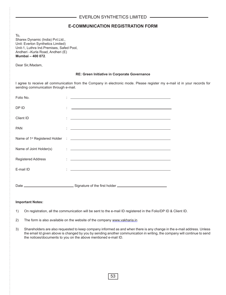## EVERLON SYNTHETICS LIMITED

## **E-COMMUNICATION REGISTRATION FORM**

To,

Sharex Dynamic (India) Pvt.Ltd., Unit: Everlon Synthetics Limited) Unit-1, Luthra Ind.Premises, Safed Pool, Andheri –Kurla Road, Andheri (E) **Mumbai – 400 072**.

Dear Sir,/Madam,

#### **RE: Green Initiative in Corporate Governance**

I agree to receive all communication from the Company in electronic mode. Please register my e-mail id in your records for sending communication through e-mail.

| Folio No.                 | <u> 1990 - Johann Stoff, amerikansk politiker (d. 1980)</u>                                                          |
|---------------------------|----------------------------------------------------------------------------------------------------------------------|
| DP ID                     |                                                                                                                      |
| Client ID                 |                                                                                                                      |
| <b>PAN</b>                | <u> 1986 - Andrea Station, amerikansk politiker (d. 1988)</u>                                                        |
|                           |                                                                                                                      |
| Name of Joint Holder(s)   | <u> 1986 - Johann Stein, Amerikaansk politiker († 1908)</u>                                                          |
| <b>Registered Address</b> | the contract of the contract of the contract of the contract of the contract of the contract of                      |
| E-mail ID                 | <u> 1986 - Johann John Stone, mars and de la provincia de la provincia de la provincia de la provincia de la pro</u> |
|                           |                                                                                                                      |
|                           |                                                                                                                      |

#### **Important Notes:**

- 1) On registration, all the communication will be sent to the e-mail ID registered in the Folio/DP ID & Client ID.
- 2) The form is also available on the website of the company www.vakharia.in
- 3) Shareholders are also requested to keep company informed as and when there is any change in the e-mail address. Unless the email Id given above is changed by you by sending another communication in writing, the company will continue to send the notices/documents to you on the above mentioned e-mail ID.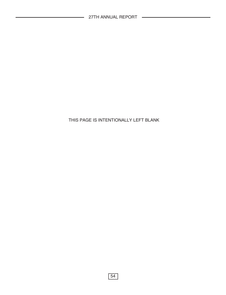## THIS PAGE IS INTENTIONALLY LEFT BLANK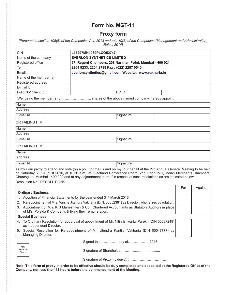## **Form No. MGT-11**

## **Proxy form**

*[Pursuant to section 105(6) of the Companies Act, 2013 and rule 19(3) of the Companies (Management and Administration) Rules, 2014]*

| <b>CIN</b>             | L17297MH1989PLCO52747                                    |  |  |  |
|------------------------|----------------------------------------------------------|--|--|--|
| Name of the company    | <b>EVERLON SYNTHETICS LIMITED</b>                        |  |  |  |
| Registered office      | 67, Regent Chambers, 208 Nariman Point, Mumbai - 400 021 |  |  |  |
| Tel:                   | 2204 9233, 2204 2788 Fax: (022) 2287 0540                |  |  |  |
| Email:                 | everlonsynthetics@gmail.com Website:- www.vakharia.in    |  |  |  |
| Name of the member (s) |                                                          |  |  |  |
| Registered address     |                                                          |  |  |  |
| E-mail Id              |                                                          |  |  |  |
| Folio No/ Client Id    | DP ID                                                    |  |  |  |

I/We, being the member (s) of ……………………. shares of the above named company, hereby appoint

| <b>Name</b> |           |  |
|-------------|-----------|--|
| Address     |           |  |
| E-mail Id   | Signature |  |

#### OR FAILING HIM

| <b>Name</b> |           |
|-------------|-----------|
| Address     |           |
| E-mail Id   | Signature |

#### OR FAILING HIM

| Name      |        |  |
|-----------|--------|--|
|           |        |  |
| E-mail Id | nature |  |

as my / our proxy to attend and vote (on a poll) for me/us and on my /our behalf at the 27<sup>th</sup> Annual General Meeting to be held on Saturday, 20<sup>th</sup> August 2016, at 10.30 a.m.. at Kilachand Conference Room, 2nd Floor, IMC, Indian Merchants Chambers, Churchgate, Mumbai - 400 020 and at any adjournment thereof in respect of such resolutions as are indicated below: Resolution No.: RESOLUTIONS

|    |                                                                                                                                                           | For | Against |
|----|-----------------------------------------------------------------------------------------------------------------------------------------------------------|-----|---------|
|    | <b>Ordinary Business</b>                                                                                                                                  |     |         |
|    | Adoption of Financial Statements for the year ended 31 <sup>st</sup> March 2016                                                                           |     |         |
| 2. | Re-appointment of Mrs. Varsha Jitendra Vakharia (DIN: 00052361) as Director, who retires by rotation.                                                     |     |         |
| 3. | Appointment of M/s. K S Maheshwari & Co., Chartered Accountants as Statutory Auditors in place<br>of M/s. Polaida & Company, & fixing their remuneration. |     |         |
|    | <b>Special Business</b>                                                                                                                                   |     |         |
| 4. | To Ordinary Resolution for apoproval of appointment of Mr. Nitin Ishwarlal Parekh (DIN 00087248)<br>as Independent Director.                              |     |         |
| 5. | Special Resolution for Re-appointment of Mr. Jitendra Kantilal Vakharia (DIN 00047777) as<br>Managing Director.                                           |     |         |

Signed this…………… day of……………… 2016



Signature of Shareholder: ………...........................

Signature of Proxy holder(s): ………………………………

**Note: This form of proxy in order to be effective should be duly completed and deposited at the Registered Office of the Company, not less than 48 hours before the commencement of the Meeting.**